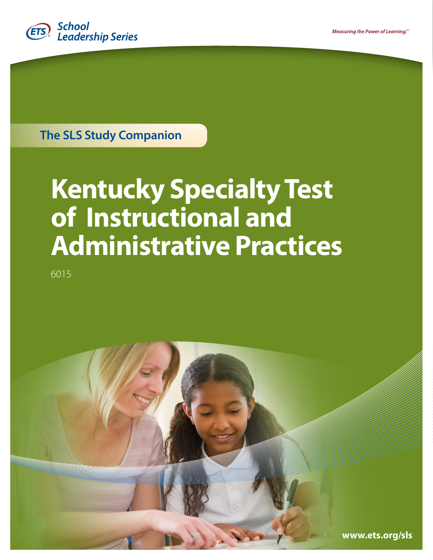

**The SLS Study Companion**

# **Kentucky Specialty Test of Instructional and Administrative Practices**

6015

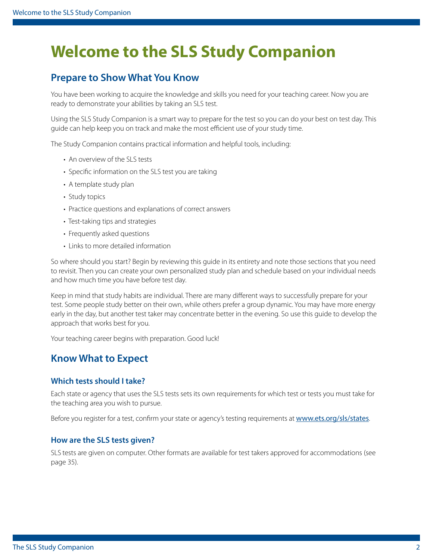## **Welcome to the SLS Study Companion**

### **Prepare to Show What You Know**

You have been working to acquire the knowledge and skills you need for your teaching career. Now you are ready to demonstrate your abilities by taking an SLS test.

Using the SLS Study Companion is a smart way to prepare for the test so you can do your best on test day. This guide can help keep you on track and make the most efficient use of your study time.

The Study Companion contains practical information and helpful tools, including:

- An overview of the SLS tests
- Specific information on the SLS test you are taking
- A template study plan
- Study topics
- Practice questions and explanations of correct answers
- Test-taking tips and strategies
- Frequently asked questions
- Links to more detailed information

So where should you start? Begin by reviewing this guide in its entirety and note those sections that you need to revisit. Then you can create your own personalized study plan and schedule based on your individual needs and how much time you have before test day.

Keep in mind that study habits are individual. There are many different ways to successfully prepare for your test. Some people study better on their own, while others prefer a group dynamic. You may have more energy early in the day, but another test taker may concentrate better in the evening. So use this guide to develop the approach that works best for you.

Your teaching career begins with preparation. Good luck!

### **Know What to Expect**

#### **Which tests should I take?**

Each state or agency that uses the SLS tests sets its own requirements for which test or tests you must take for the teaching area you wish to pursue.

Before you register for a test, confirm your state or agency's testing requirements at <www.ets.org/sls/states>.

#### **How are the SLS tests given?**

SLS tests are given on computer. Other formats are available for test takers approved for accommodations (see [page 35\)](#page-34-0).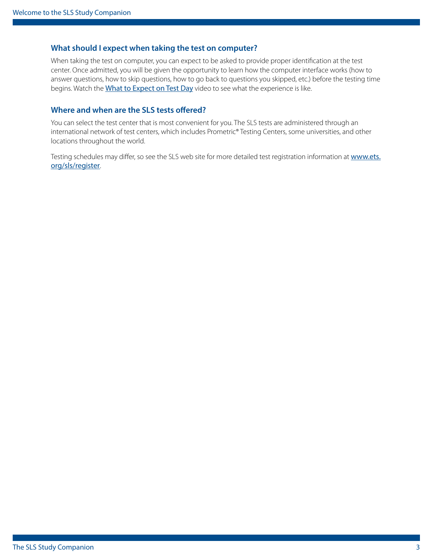#### **What should I expect when taking the test on computer?**

When taking the test on computer, you can expect to be asked to provide proper identification at the test center. Once admitted, you will be given the opportunity to learn how the computer interface works (how to answer questions, how to skip questions, how to go back to questions you skipped, etc.) before the testing time begins. Watch the [What to Expect on Test Day](http://www.ets.org/s/praxis/flash/prometric/18204_praxis-prometric-video.html) video to see what the experience is like.

#### **Where and when are the SLS tests offered?**

You can select the test center that is most convenient for you. The SLS tests are administered through an international network of test centers, which includes Prometric® Testing Centers, some universities, and other locations throughout the world.

Testing schedules may differ, so see the SLS web site for more detailed test registration information at [www.ets.](www.ets.org/sls/register) [org/sls/register](www.ets.org/sls/register).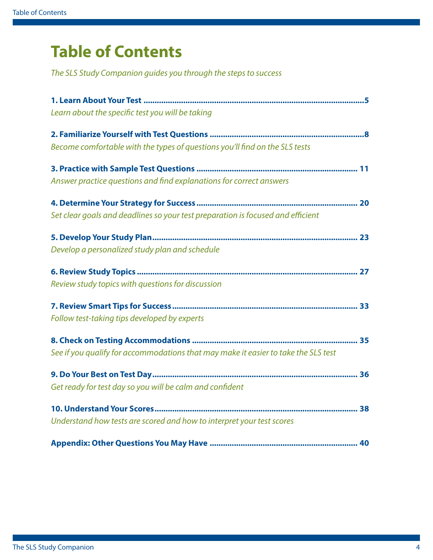## **Table of Contents**

*The SLS Study Companion guides you through the steps to success*

| Learn about the specific test you will be taking                                   |
|------------------------------------------------------------------------------------|
|                                                                                    |
| Become comfortable with the types of questions you'll find on the SLS tests        |
|                                                                                    |
| Answer practice questions and find explanations for correct answers                |
|                                                                                    |
| Set clear goals and deadlines so your test preparation is focused and efficient    |
|                                                                                    |
| Develop a personalized study plan and schedule                                     |
|                                                                                    |
| Review study topics with questions for discussion                                  |
|                                                                                    |
| Follow test-taking tips developed by experts                                       |
|                                                                                    |
| See if you qualify for accommodations that may make it easier to take the SLS test |
|                                                                                    |
| Get ready for test day so you will be calm and confident                           |
|                                                                                    |
| Understand how tests are scored and how to interpret your test scores              |
|                                                                                    |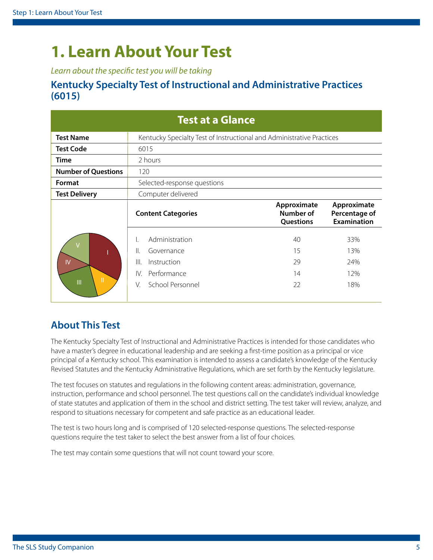## <span id="page-4-1"></span><span id="page-4-0"></span>**1. Learn About Your Test**

*Learn about the specific test you will be taking*

### **Kentucky Specialty Test of Instructional and Administrative Practices (6015)**

| <b>Test at a Glance</b>    |                                                                                                                 |                                       |                                                    |  |  |  |  |  |
|----------------------------|-----------------------------------------------------------------------------------------------------------------|---------------------------------------|----------------------------------------------------|--|--|--|--|--|
| <b>Test Name</b>           | Kentucky Specialty Test of Instructional and Administrative Practices                                           |                                       |                                                    |  |  |  |  |  |
| <b>Test Code</b>           | 6015                                                                                                            |                                       |                                                    |  |  |  |  |  |
| <b>Time</b>                | 2 hours                                                                                                         |                                       |                                                    |  |  |  |  |  |
| <b>Number of Questions</b> | 120                                                                                                             |                                       |                                                    |  |  |  |  |  |
| Format                     | Selected-response questions                                                                                     |                                       |                                                    |  |  |  |  |  |
| <b>Test Delivery</b>       | Computer delivered                                                                                              |                                       |                                                    |  |  |  |  |  |
|                            | <b>Content Categories</b>                                                                                       | Approximate<br>Number of<br>Questions | Approximate<br>Percentage of<br><b>Examination</b> |  |  |  |  |  |
| IV<br>П<br>$\mathbf{  }$   | Administration<br>Ι.<br>Ⅱ.<br>Governance<br>III.<br>Instruction<br>Performance<br>IV.<br>School Personnel<br>V. | 40<br>15<br>29<br>14<br>22            | 33%<br>13%<br>24%<br>12%<br>18%                    |  |  |  |  |  |
|                            |                                                                                                                 |                                       |                                                    |  |  |  |  |  |

## **About This Test**

The Kentucky Specialty Test of Instructional and Administrative Practices is intended for those candidates who have a master's degree in educational leadership and are seeking a first-time position as a principal or vice principal of a Kentucky school. This examination is intended to assess a candidate's knowledge of the Kentucky Revised Statutes and the Kentucky Administrative Regulations, which are set forth by the Kentucky legislature.

The test focuses on statutes and regulations in the following content areas: administration, governance, instruction, performance and school personnel. The test questions call on the candidate's individual knowledge of state statutes and application of them in the school and district setting. The test taker will review, analyze, and respond to situations necessary for competent and safe practice as an educational leader.

The test is two hours long and is comprised of 120 selected-response questions. The selected-response questions require the test taker to select the best answer from a list of four choices.

The test may contain some questions that will not count toward your score.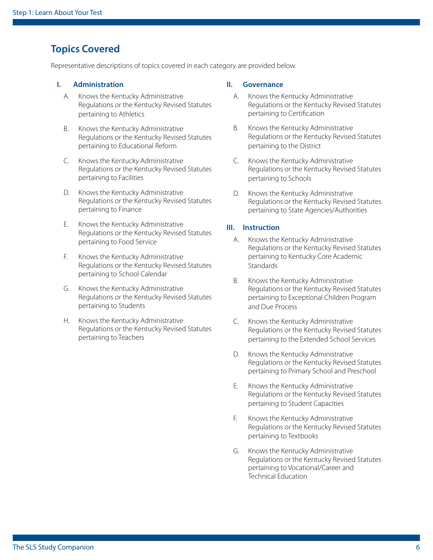## **Topics Covered**

Representative descriptions of topics covered in each category are provided below.

#### **I. Administration**

- A. Knows the Kentucky Administrative Regulations or the Kentucky Revised Statutes pertaining to Athletics
- B. Knows the Kentucky Administrative Regulations or the Kentucky Revised Statutes pertaining to Educational Reform
- C. Knows the Kentucky Administrative Regulations or the Kentucky Revised Statutes pertaining to Facilities
- D. Knows the Kentucky Administrative Regulations or the Kentucky Revised Statutes pertaining to Finance
- E. Knows the Kentucky Administrative Regulations or the Kentucky Revised Statutes pertaining to Food Service
- F. Knows the Kentucky Administrative Regulations or the Kentucky Revised Statutes pertaining to School Calendar
- G. Knows the Kentucky Administrative Regulations or the Kentucky Revised Statutes pertaining to Students
- H. Knows the Kentucky Administrative Regulations or the Kentucky Revised Statutes pertaining to Teachers

#### **II. Governance**

- A. Knows the Kentucky Administrative Regulations or the Kentucky Revised Statutes pertaining to Certification
- B. Knows the Kentucky Administrative Regulations or the Kentucky Revised Statutes pertaining to the District
- C. Knows the Kentucky Administrative Regulations or the Kentucky Revised Statutes pertaining to Schools
- D. Knows the Kentucky Administrative Regulations or the Kentucky Revised Statutes pertaining to State Agencies/Authorities

#### **III. Instruction**

- A. Knows the Kentucky Administrative Regulations or the Kentucky Revised Statutes pertaining to Kentucky Core Academic **Standards**
- B. Knows the Kentucky Administrative Regulations or the Kentucky Revised Statutes pertaining to Exceptional Children Program and Due Process
- C. Knows the Kentucky Administrative Regulations or the Kentucky Revised Statutes pertaining to the Extended School Services
- D. Knows the Kentucky Administrative Regulations or the Kentucky Revised Statutes pertaining to Primary School and Preschool
- E. Knows the Kentucky Administrative Regulations or the Kentucky Revised Statutes pertaining to Student Capacities
- F. Knows the Kentucky Administrative Regulations or the Kentucky Revised Statutes pertaining to Textbooks
- G. Knows the Kentucky Administrative Regulations or the Kentucky Revised Statutes pertaining to Vocational/Career and Technical Education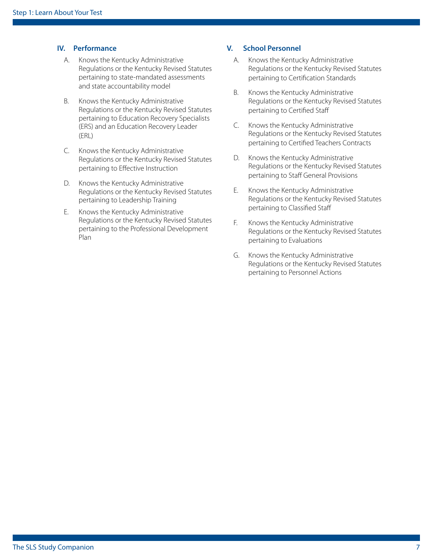#### **IV. Performance**

- A. Knows the Kentucky Administrative Regulations or the Kentucky Revised Statutes pertaining to state-mandated assessments and state accountability model
- B. Knows the Kentucky Administrative Regulations or the Kentucky Revised Statutes pertaining to Education Recovery Specialists (ERS) and an Education Recovery Leader (ERL)
- C. Knows the Kentucky Administrative Regulations or the Kentucky Revised Statutes pertaining to Effective Instruction
- D. Knows the Kentucky Administrative Regulations or the Kentucky Revised Statutes pertaining to Leadership Training
- E. Knows the Kentucky Administrative Regulations or the Kentucky Revised Statutes pertaining to the Professional Development Plan

#### **V. School Personnel**

- A. Knows the Kentucky Administrative Regulations or the Kentucky Revised Statutes pertaining to Certification Standards
- B. Knows the Kentucky Administrative Regulations or the Kentucky Revised Statutes pertaining to Certified Staff
- C. Knows the Kentucky Administrative Regulations or the Kentucky Revised Statutes pertaining to Certified Teachers Contracts
- D. Knows the Kentucky Administrative Regulations or the Kentucky Revised Statutes pertaining to Staff General Provisions
- E. Knows the Kentucky Administrative Regulations or the Kentucky Revised Statutes pertaining to Classified Staff
- F. Knows the Kentucky Administrative Regulations or the Kentucky Revised Statutes pertaining to Evaluations
- G. Knows the Kentucky Administrative Regulations or the Kentucky Revised Statutes pertaining to Personnel Actions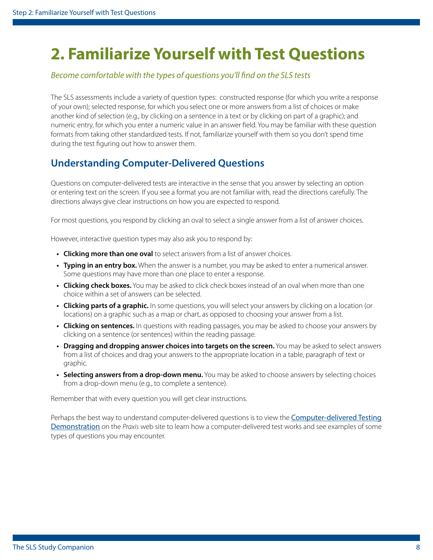## <span id="page-7-0"></span>**2. Familiarize Yourself with Test Questions**

#### *Become comfortable with the types of questions you'll find on the SLS tests*

The SLS assessments include a variety of question types: constructed response (for which you write a response of your own); selected response, for which you select one or more answers from a list of choices or make another kind of selection (e.g., by clicking on a sentence in a text or by clicking on part of a graphic); and numeric entry, for which you enter a numeric value in an answer field. You may be familiar with these question formats from taking other standardized tests. If not, familiarize yourself with them so you don't spend time during the test figuring out how to answer them.

## **Understanding Computer-Delivered Questions**

Questions on computer-delivered tests are interactive in the sense that you answer by selecting an option or entering text on the screen. If you see a format you are not familiar with, read the directions carefully. The directions always give clear instructions on how you are expected to respond.

For most questions, you respond by clicking an oval to select a single answer from a list of answer choices.

However, interactive question types may also ask you to respond by:

- **• Clicking more than one oval** to select answers from a list of answer choices.
- **• Typing in an entry box.** When the answer is a number, you may be asked to enter a numerical answer. Some questions may have more than one place to enter a response.
- **• Clicking check boxes.** You may be asked to click check boxes instead of an oval when more than one choice within a set of answers can be selected.
- **• Clicking parts of a graphic.** In some questions, you will select your answers by clicking on a location (or locations) on a graphic such as a map or chart, as opposed to choosing your answer from a list.
- **• Clicking on sentences.** In questions with reading passages, you may be asked to choose your answers by clicking on a sentence (or sentences) within the reading passage.
- **• Dragging and dropping answer choices into targets on the screen.** You may be asked to select answers from a list of choices and drag your answers to the appropriate location in a table, paragraph of text or graphic.
- **• Selecting answers from a drop-down menu.** You may be asked to choose answers by selecting choices from a drop-down menu (e.g., to complete a sentence).

Remember that with every question you will get clear instructions.

Perhaps the best way to understand computer-delivered questions is to view the [Computer-delivered Testing](http://www.ets.org/s/praxis/flash/cbt/praxis_cdt_demo_web1.html)  [Demonstration](http://www.ets.org/s/praxis/flash/cbt/praxis_cdt_demo_web1.html) on the *Praxis* web site to learn how a computer-delivered test works and see examples of some types of questions you may encounter.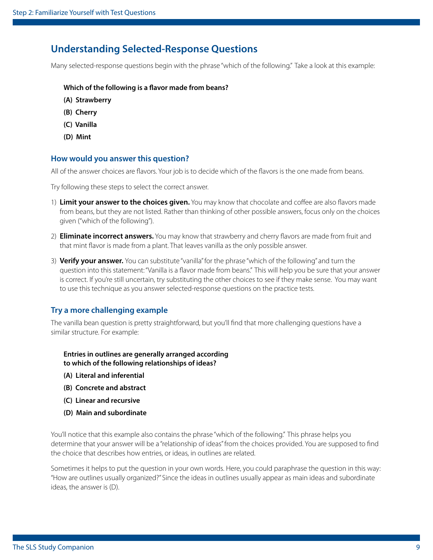### **Understanding Selected-Response Questions**

Many selected-response questions begin with the phrase "which of the following." Take a look at this example:

#### **Which of the following is a flavor made from beans?**

- **(A) Strawberry**
- **(B) Cherry**
- **(C) Vanilla**
- **(D) Mint**

#### **How would you answer this question?**

All of the answer choices are flavors. Your job is to decide which of the flavors is the one made from beans.

Try following these steps to select the correct answer.

- 1) **Limit your answer to the choices given.** You may know that chocolate and coffee are also flavors made from beans, but they are not listed. Rather than thinking of other possible answers, focus only on the choices given ("which of the following").
- 2) **Eliminate incorrect answers.** You may know that strawberry and cherry flavors are made from fruit and that mint flavor is made from a plant. That leaves vanilla as the only possible answer.
- 3) **Verify your answer.** You can substitute "vanilla" for the phrase "which of the following" and turn the question into this statement: "Vanilla is a flavor made from beans." This will help you be sure that your answer is correct. If you're still uncertain, try substituting the other choices to see if they make sense. You may want to use this technique as you answer selected-response questions on the practice tests.

#### **Try a more challenging example**

The vanilla bean question is pretty straightforward, but you'll find that more challenging questions have a similar structure. For example:

**Entries in outlines are generally arranged according to which of the following relationships of ideas?**

- **(A) Literal and inferential**
- **(B) Concrete and abstract**
- **(C) Linear and recursive**
- **(D) Main and subordinate**

You'll notice that this example also contains the phrase "which of the following." This phrase helps you determine that your answer will be a "relationship of ideas" from the choices provided. You are supposed to find the choice that describes how entries, or ideas, in outlines are related.

Sometimes it helps to put the question in your own words. Here, you could paraphrase the question in this way: "How are outlines usually organized?" Since the ideas in outlines usually appear as main ideas and subordinate ideas, the answer is (D).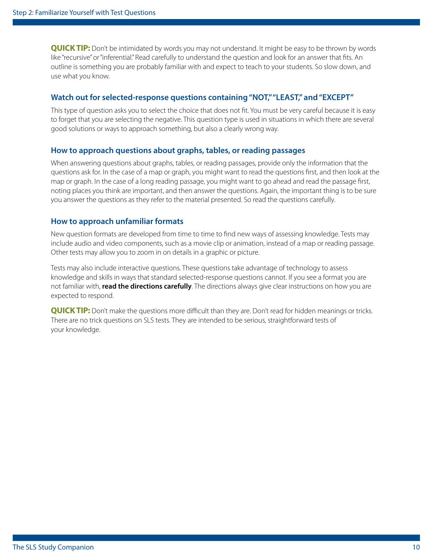**QUICK TIP:** Don't be intimidated by words you may not understand. It might be easy to be thrown by words like "recursive" or "inferential." Read carefully to understand the question and look for an answer that fits. An outline is something you are probably familiar with and expect to teach to your students. So slow down, and use what you know.

#### **Watch out for selected-response questions containing "NOT," "LEAST," and "EXCEPT"**

This type of question asks you to select the choice that does not fit. You must be very careful because it is easy to forget that you are selecting the negative. This question type is used in situations in which there are several good solutions or ways to approach something, but also a clearly wrong way.

#### **How to approach questions about graphs, tables, or reading passages**

When answering questions about graphs, tables, or reading passages, provide only the information that the questions ask for. In the case of a map or graph, you might want to read the questions first, and then look at the map or graph. In the case of a long reading passage, you might want to go ahead and read the passage first, noting places you think are important, and then answer the questions. Again, the important thing is to be sure you answer the questions as they refer to the material presented. So read the questions carefully.

#### **How to approach unfamiliar formats**

New question formats are developed from time to time to find new ways of assessing knowledge. Tests may include audio and video components, such as a movie clip or animation, instead of a map or reading passage. Other tests may allow you to zoom in on details in a graphic or picture.

Tests may also include interactive questions. These questions take advantage of technology to assess knowledge and skills in ways that standard selected-response questions cannot. If you see a format you are not familiar with, **read the directions carefully**. The directions always give clear instructions on how you are expected to respond.

**QUICK TIP:** Don't make the questions more difficult than they are. Don't read for hidden meanings or tricks. There are no trick questions on SLS tests. They are intended to be serious, straightforward tests of your knowledge.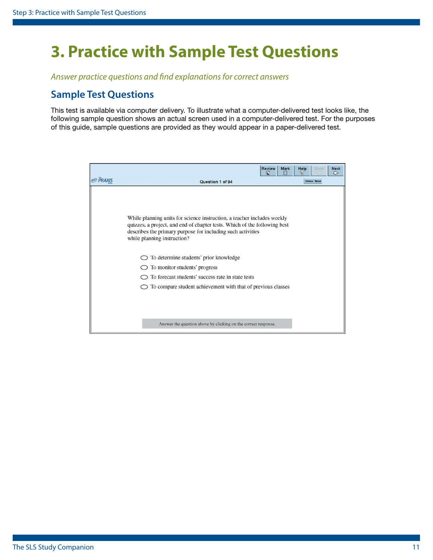## <span id="page-10-1"></span><span id="page-10-0"></span>**3. Practice with Sample Test Questions**

*Answer practice questions and find explanations for correct answers*

### **Sample Test Questions**

This test is available via computer delivery. To illustrate what a computer-delivered test looks like, the following sample question shows an actual screen used in a computer-delivered test. For the purposes of this guide, sample questions are provided as they would appear in a paper-delivered test.

|                   |                                                                                                                                                                                                                                                                                                                                                                                                                                                    | <b>Review</b><br>ଦ୍ଧ | Mark | Help<br>Đ | Back             | <b>Next</b><br>$\bullet$ |
|-------------------|----------------------------------------------------------------------------------------------------------------------------------------------------------------------------------------------------------------------------------------------------------------------------------------------------------------------------------------------------------------------------------------------------------------------------------------------------|----------------------|------|-----------|------------------|--------------------------|
| <b>ETS</b> PRAXIS | Question 1 of 94                                                                                                                                                                                                                                                                                                                                                                                                                                   |                      |      |           | <b>Show Time</b> |                          |
|                   | While planning units for science instruction, a teacher includes weekly<br>quizzes, a project, and end of chapter tests. Which of the following best<br>describes the primary purpose for including such activities<br>while planning instruction?<br>To determine students' prior knowledge<br>To monitor students' progress<br>To forecast students' success rate in state tests<br>To compare student achievement with that of previous classes |                      |      |           |                  |                          |
|                   | Answer the question above by clicking on the correct response.                                                                                                                                                                                                                                                                                                                                                                                     |                      |      |           |                  |                          |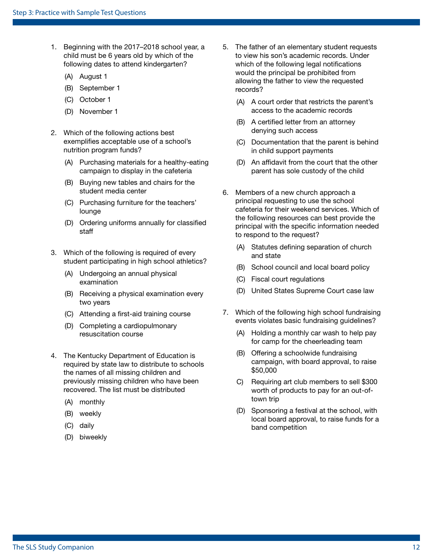- 1. Beginning with the 2017–2018 school year, a child must be 6 years old by which of the following dates to attend kindergarten?
	- (A) August 1
	- (B) September 1
	- (C) October 1
	- (D) November 1
- 2. Which of the following actions best exemplifies acceptable use of a school's nutrition program funds?
	- (A) Purchasing materials for a healthy-eating campaign to display in the cafeteria
	- (B) Buying new tables and chairs for the student media center
	- (C) Purchasing furniture for the teachers' lounge
	- (D) Ordering uniforms annually for classified staff
- 3. Which of the following is required of every student participating in high school athletics?
	- (A) Undergoing an annual physical examination
	- (B) Receiving a physical examination every two years
	- (C) Attending a first-aid training course
	- (D) Completing a cardiopulmonary resuscitation course
- 4. The Kentucky Department of Education is required by state law to distribute to schools the names of all missing children and previously missing children who have been recovered. The list must be distributed
	- (A) monthly
	- (B) weekly
	- (C) daily
	- (D) biweekly
- 5. The father of an elementary student requests to view his son's academic records. Under which of the following legal notifications would the principal be prohibited from allowing the father to view the requested records?
	- (A) A court order that restricts the parent's access to the academic records
	- (B) A certified letter from an attorney denying such access
	- (C) Documentation that the parent is behind in child support payments
	- (D) An affidavit from the court that the other parent has sole custody of the child
- 6. Members of a new church approach a principal requesting to use the school cafeteria for their weekend services. Which of the following resources can best provide the principal with the specific information needed to respond to the request?
	- (A) Statutes defining separation of church and state
	- (B) School council and local board policy
	- (C) Fiscal court regulations
	- (D) United States Supreme Court case law
- 7. Which of the following high school fundraising events violates basic fundraising guidelines?
	- (A) Holding a monthly car wash to help pay for camp for the cheerleading team
	- (B) Offering a schoolwide fundraising campaign, with board approval, to raise \$50,000
	- C) Requiring art club members to sell \$300 worth of products to pay for an out-oftown trip
	- (D) Sponsoring a festival at the school, with local board approval, to raise funds for a band competition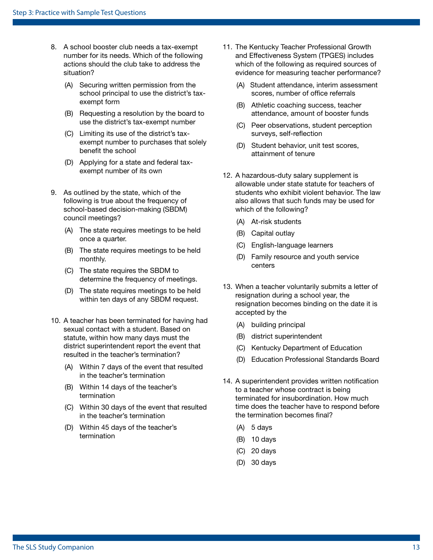- 8. A school booster club needs a tax-exempt number for its needs. Which of the following actions should the club take to address the situation?
	- (A) Securing written permission from the school principal to use the district's taxexempt form
	- (B) Requesting a resolution by the board to use the district's tax-exempt number
	- (C) Limiting its use of the district's taxexempt number to purchases that solely benefit the school
	- (D) Applying for a state and federal taxexempt number of its own
- 9. As outlined by the state, which of the following is true about the frequency of school-based decision-making (SBDM) council meetings?
	- (A) The state requires meetings to be held once a quarter.
	- (B) The state requires meetings to be held monthly.
	- (C) The state requires the SBDM to determine the frequency of meetings.
	- (D) The state requires meetings to be held within ten days of any SBDM request.
- 10. A teacher has been terminated for having had sexual contact with a student. Based on statute, within how many days must the district superintendent report the event that resulted in the teacher's termination?
	- (A) Within 7 days of the event that resulted in the teacher's termination
	- (B) Within 14 days of the teacher's termination
	- (C) Within 30 days of the event that resulted in the teacher's termination
	- (D) Within 45 days of the teacher's termination
- 11. The Kentucky Teacher Professional Growth and Effectiveness System (TPGES) includes which of the following as required sources of evidence for measuring teacher performance?
	- (A) Student attendance, interim assessment scores, number of office referrals
	- (B) Athletic coaching success, teacher attendance, amount of booster funds
	- (C) Peer observations, student perception surveys, self-reflection
	- (D) Student behavior, unit test scores, attainment of tenure
- 12. A hazardous-duty salary supplement is allowable under state statute for teachers of students who exhibit violent behavior. The law also allows that such funds may be used for which of the following?
	- (A) At-risk students
	- (B) Capital outlay
	- (C) English-language learners
	- (D) Family resource and youth service centers
- 13. When a teacher voluntarily submits a letter of resignation during a school year, the resignation becomes binding on the date it is accepted by the
	- (A) building principal
	- (B) district superintendent
	- (C) Kentucky Department of Education
	- (D) Education Professional Standards Board
- 14. A superintendent provides written notification to a teacher whose contract is being terminated for insubordination. How much time does the teacher have to respond before the termination becomes final?
	- (A) 5 days
	- (B) 10 days
	- (C) 20 days
	- (D) 30 days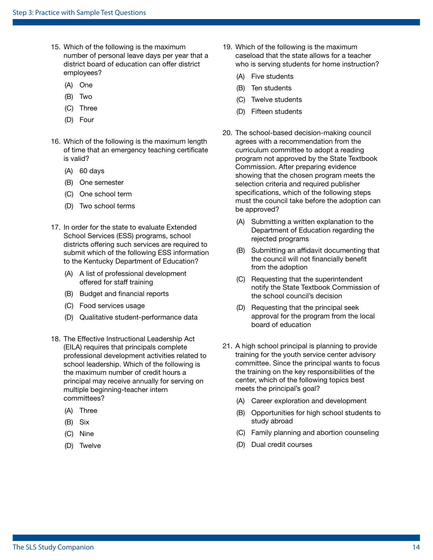- 15. Which of the following is the maximum number of personal leave days per year that a district board of education can offer district employees?
	- (A) One
	- (B) Two
	- (C) Three
	- (D) Four
- 16. Which of the following is the maximum length of time that an emergency teaching certificate is valid?
	- (A) 60 days
	- (B) One semester
	- (C) One school term
	- (D) Two school terms
- 17. In order for the state to evaluate Extended School Services (ESS) programs, school districts offering such services are required to submit which of the following ESS information to the Kentucky Department of Education?
	- (A) A list of professional development offered for staff training
	- (B) Budget and financial reports
	- (C) Food services usage
	- (D) Qualitative student-performance data
- 18. The Effective Instructional Leadership Act (EILA) requires that principals complete professional development activities related to school leadership. Which of the following is the maximum number of credit hours a principal may receive annually for serving on multiple beginning-teacher intern committees?
	- (A) Three
	- (B) Six
	- (C) Nine
	- (D) Twelve
- 19. Which of the following is the maximum caseload that the state allows for a teacher who is serving students for home instruction?
	- (A) Five students
	- (B) Ten students
	- (C) Twelve students
	- (D) Fifteen students
- 20. The school-based decision-making council agrees with a recommendation from the curriculum committee to adopt a reading program not approved by the State Textbook Commission. After preparing evidence showing that the chosen program meets the selection criteria and required publisher specifications, which of the following steps must the council take before the adoption can be approved?
	- (A) Submitting a written explanation to the Department of Education regarding the rejected programs
	- (B) Submitting an affidavit documenting that the council will not financially benefit from the adoption
	- (C) Requesting that the superintendent notify the State Textbook Commission of the school council's decision
	- (D) Requesting that the principal seek approval for the program from the local board of education
- 21. A high school principal is planning to provide training for the youth service center advisory committee. Since the principal wants to focus the training on the key responsibilities of the center, which of the following topics best meets the principal's goal?
	- (A) Career exploration and development
	- (B) Opportunities for high school students to study abroad
	- (C) Family planning and abortion counseling
	- (D) Dual credit courses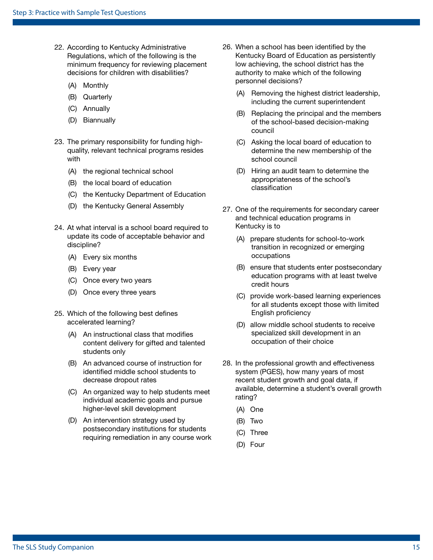- 22. According to Kentucky Administrative Regulations, which of the following is the minimum frequency for reviewing placement decisions for children with disabilities?
	- (A) Monthly
	- (B) Quarterly
	- (C) Annually
	- (D) Biannually
- 23. The primary responsibility for funding highquality, relevant technical programs resides with
	- (A) the regional technical school
	- (B) the local board of education
	- (C) the Kentucky Department of Education
	- (D) the Kentucky General Assembly
- 24. At what interval is a school board required to update its code of acceptable behavior and discipline?
	- (A) Every six months
	- (B) Every year
	- (C) Once every two years
	- (D) Once every three years
- 25. Which of the following best defines accelerated learning?
	- (A) An instructional class that modifies content delivery for gifted and talented students only
	- (B) An advanced course of instruction for identified middle school students to decrease dropout rates
	- (C) An organized way to help students meet individual academic goals and pursue higher-level skill development
	- (D) An intervention strategy used by postsecondary institutions for students requiring remediation in any course work
- 26. When a school has been identified by the Kentucky Board of Education as persistently low achieving, the school district has the authority to make which of the following personnel decisions?
	- (A) Removing the highest district leadership, including the current superintendent
	- (B) Replacing the principal and the members of the school-based decision-making council
	- (C) Asking the local board of education to determine the new membership of the school council
	- (D) Hiring an audit team to determine the appropriateness of the school's classification
- 27. One of the requirements for secondary career and technical education programs in Kentucky is to
	- (A) prepare students for school-to-work transition in recognized or emerging occupations
	- (B) ensure that students enter postsecondary education programs with at least twelve credit hours
	- (C) provide work-based learning experiences for all students except those with limited English proficiency
	- (D) allow middle school students to receive specialized skill development in an occupation of their choice
- 28. In the professional growth and effectiveness system (PGES), how many years of most recent student growth and goal data, if available, determine a student's overall growth rating?
	- (A) One
	- (B) Two
	- (C) Three
	- (D) Four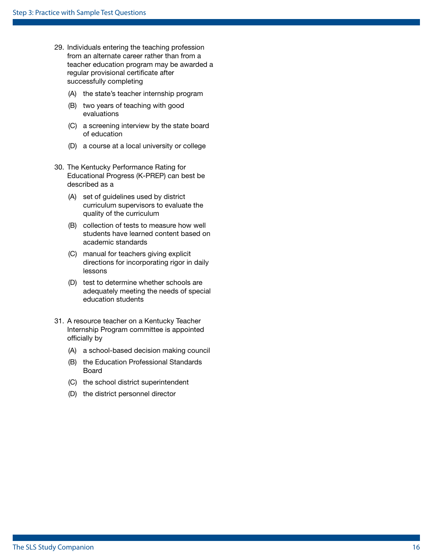- 29. Individuals entering the teaching profession from an alternate career rather than from a teacher education program may be awarded a regular provisional certificate after successfully completing
	- (A) the state's teacher internship program
	- (B) two years of teaching with good evaluations
	- (C) a screening interview by the state board of education
	- (D) a course at a local university or college
- 30. The Kentucky Performance Rating for Educational Progress (K-PREP) can best be described as a
	- (A) set of guidelines used by district curriculum supervisors to evaluate the quality of the curriculum
	- (B) collection of tests to measure how well students have learned content based on academic standards
	- (C) manual for teachers giving explicit directions for incorporating rigor in daily lessons
	- (D) test to determine whether schools are adequately meeting the needs of special education students
- 31. A resource teacher on a Kentucky Teacher Internship Program committee is appointed officially by
	- (A) a school-based decision making council
	- (B) the Education Professional Standards Board
	- (C) the school district superintendent
	- (D) the district personnel director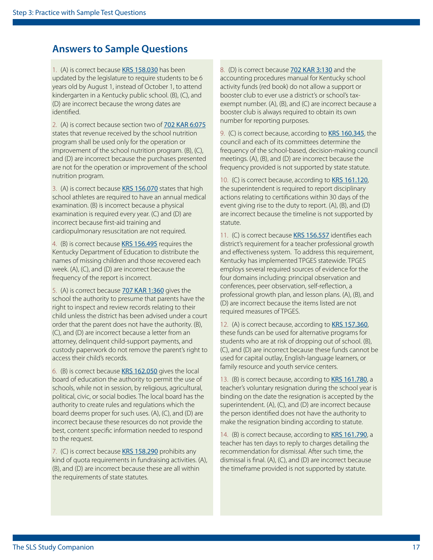### **Answers to Sample Questions**

1. (A) is correct because [KRS 158.030](http://www.lrc.ky.gov/KRS/158-00/030.PDF) has been updated by the legislature to require students to be 6 years old by August 1, instead of October 1, to attend kindergarten in a Kentucky public school. (B), (C), and (D) are incorrect because the wrong dates are identified.

2. (A) is correct because section two of [702 KAR 6:075](http://www.lrc.ky.gov/kar/702/006/075.htm) states that revenue received by the school nutrition program shall be used only for the operation or improvement of the school nutrition program. (B), (C), and (D) are incorrect because the purchases presented are not for the operation or improvement of the school nutrition program.

3. (A) is correct because [KRS 156.070](http://www.lrc.ky.gov/KRS/156-00/070.PDF) states that high school athletes are required to have an annual medical examination. (B) is incorrect because a physical examination is required every year. (C) and (D) are incorrect because first-aid training and cardiopulmonary resuscitation are not required.

4. (B) is correct because [KRS 156.495](http://www.lrc.ky.gov/KRS/156-00/495.PDF) requires the Kentucky Department of Education to distribute the names of missing children and those recovered each week. (A), (C), and (D) are incorrect because the frequency of the report is incorrect.

5. (A) is correct because [707 KAR 1:360](http://www.lrc.ky.gov/kar/707/001/360.htm) gives the school the authority to presume that parents have the right to inspect and review records relating to their child unless the district has been advised under a court order that the parent does not have the authority. (B), (C), and (D) are incorrect because a letter from an attorney, delinquent child-support payments, and custody paperwork do not remove the parent's right to access their child's records.

6. (B) is correct because [KRS 162.050](http://www.lrc.ky.gov/KRS/162-00/050.PDF) gives the local board of education the authority to permit the use of schools, while not in session, by religious, agricultural, political, civic, or social bodies. The local board has the authority to create rules and regulations which the board deems proper for such uses. (A), (C), and (D) are incorrect because these resources do not provide the best, content specific information needed to respond to the request.

7. (C) is correct because [KRS 158.290](http://www.lrc.ky.gov/KRS/158-00/290.PDF) prohibits any kind of quota requirements in fundraising activities. (A), (B), and (D) are incorrect because these are all within the requirements of state statutes.

8. (D) is correct because [702 KAR 3:130](http://www.lrc.ky.gov/kar/702/003/130.htm) and the accounting procedures manual for Kentucky school activity funds (red book) do not allow a support or booster club to ever use a district's or school's taxexempt number. (A), (B), and (C) are incorrect because a booster club is always required to obtain its own number for reporting purposes.

9. (C) is correct because, according to [KRS 160.345](http://www.lrc.ky.gov/KRS/160-00/345.PDF), the council and each of its committees determine the frequency of the school-based, decision-making council meetings. (A), (B), and (D) are incorrect because the frequency provided is not supported by state statute.

10. (C) is correct because, according to [KRS 161.120](http://www.lrc.ky.gov/KRS/161-00/120.PDF), the superintendent is required to report disciplinary actions relating to certifications within 30 days of the event giving rise to the duty to report. (A), (B), and (D) are incorrect because the timeline is not supported by statute.

11. (C) is correct because [KRS 156.557](http://www.lrc.ky.gov/Statutes/statute.aspx?id=42137) identifies each district's requirement for a teacher professional growth and effectiveness system. To address this requirement, Kentucky has implemented TPGES statewide. TPGES employs several required sources of evidence for the four domains including: principal observation and conferences, peer observation, self-reflection, a professional growth plan, and lesson plans. (A), (B), and (D) are incorrect because the items listed are not required measures of TPGES.

12. (A) is correct because, according to [KRS 157.360](http://www.lrc.ky.gov/KRS/157-00/360.PDF), these funds can be used for alternative programs for students who are at risk of dropping out of school. (B), (C), and (D) are incorrect because these funds cannot be used for capital outlay, English-language learners, or family resource and youth service centers.

13. (B) is correct because, according to [KRS 161.780](http://www.lrc.ky.gov/KRS/161-00/780.PDF), a teacher's voluntary resignation during the school year is binding on the date the resignation is accepted by the superintendent. (A), (C), and (D) are incorrect because the person identified does not have the authority to make the resignation binding according to statute.

14. (B) is correct because, according to [KRS 161.790](http://www.lrc.ky.gov/KRS/161-00/790.PDF), a teacher has ten days to reply to charges detailing the recommendation for dismissal. After such time, the dismissal is final. (A), (C), and (D) are incorrect because the timeframe provided is not supported by statute.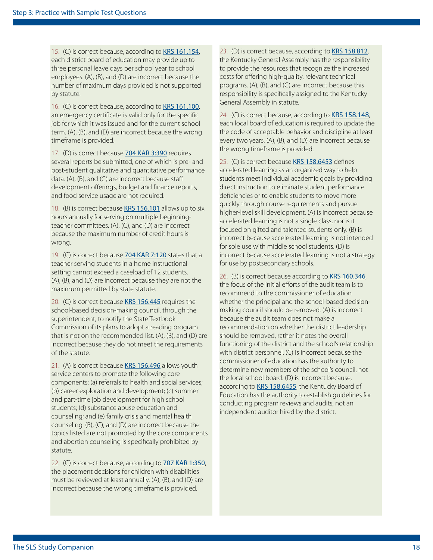15. (C) is correct because, according to [KRS 161.154](http://www.lrc.ky.gov/KRS/161-00/154.PDF), each district board of education may provide up to three personal leave days per school year to school employees. (A), (B), and (D) are incorrect because the number of maximum days provided is not supported by statute.

16. (C) is correct because, according to **[KRS 161.100](http://www.lrc.ky.gov/KRS/161-00/100.PDF)**, an emergency certificate is valid only for the specific job for which it was issued and for the current school term. (A), (B), and (D) are incorrect because the wrong timeframe is provided.

17. (D) is correct because **[704 KAR 3:390](http://www.lrc.ky.gov/kar/704/003/390.htm)** requires several reports be submitted, one of which is pre- and post-student qualitative and quantitative performance data. (A), (B), and (C) are incorrect because staff development offerings, budget and finance reports, and food service usage are not required.

18. (B) is correct because [KRS 156.101](http://www.lrc.ky.gov/KRS/156-00/101.PDF) allows up to six hours annually for serving on multiple beginningteacher committees. (A), (C), and (D) are incorrect because the maximum number of credit hours is wrong.

19. (C) is correct because **[704 KAR 7:120](http://www.lrc.ky.gov/kar/704/007/120.htm)** states that a teacher serving students in a home instructional setting cannot exceed a caseload of 12 students. (A), (B), and (D) are incorrect because they are not the maximum permitted by state statute.

20. (C) is correct because [KRS 156.445](http://www.lrc.ky.gov/KRS/156-00/445.PDF) requires the school-based decision-making council, through the superintendent, to notify the State Textbook Commission of its plans to adopt a reading program that is not on the recommended list. (A), (B), and (D) are incorrect because they do not meet the requirements of the statute.

21. (A) is correct because [KRS 156.496](http://www.lrc.ky.gov/KRS/156-00/496.PDF) allows youth service centers to promote the following core components: (a) referrals to health and social services; (b) career exploration and development; (c) summer and part-time job development for high school students; (d) substance abuse education and counseling; and (e) family crisis and mental health counseling. (B), (C), and (D) are incorrect because the topics listed are not promoted by the core components and abortion counseling is specifically prohibited by statute.

22. (C) is correct because, according to **[707 KAR 1:350](http://www.lrc.ky.gov/kar/707/001/350.htm)**, the placement decisions for children with disabilities must be reviewed at least annually. (A), (B), and (D) are incorrect because the wrong timeframe is provided.

23. (D) is correct because, according to [KRS 158.812](http://www.lrc.ky.gov/KRS/158-00/812.PDF), the Kentucky General Assembly has the responsibility to provide the resources that recognize the increased costs for offering high-quality, relevant technical programs. (A), (B), and (C) are incorrect because this responsibility is specifically assigned to the Kentucky General Assembly in statute.

24. (C) is correct because, according to [KRS 158.148](http://www.lrc.ky.gov/statutes/statute.aspx?id=45145), each local board of education is required to update the the code of acceptable behavior and discipline at least every two years. (A), (B), and (D) are incorrect because the wrong timeframe is provided.

25. (C) is correct because [KRS 158.6453](http://www.lrc.ky.gov/Statutes/statute.aspx?id=3554) defines accelerated learning as an organized way to help students meet individual academic goals by providing direct instruction to eliminate student performance deficiencies or to enable students to move more quickly through course requirements and pursue higher-level skill development. (A) is incorrect because accelerated learning is not a single class, nor is it focused on gifted and talented students only. (B) is incorrect because accelerated learning is not intended for sole use with middle school students. (D) is incorrect because accelerated learning is not a strategy for use by postsecondary schools.

26. (B) is correct because according to [KRS 160.346](http://www.lrc.ky.gov/Statutes/statute.aspx?id=40246), the focus of the initial efforts of the audit team is to recommend to the commissioner of education whether the principal and the school-based decisionmaking council should be removed. (A) is incorrect because the audit team does not make a recommendation on whether the district leadership should be removed, rather it notes the overall functioning of the district and the school's relationship with district personnel. (C) is incorrect because the commissioner of education has the authority to determine new members of the school's council, not the local school board. (D) is incorrect because, according to [KRS 158.6455](http://www.lrc.ky.gov/Statutes/statute.aspx?id=3556), the Kentucky Board of Education has the authority to establish guidelines for conducting program reviews and audits, not an independent auditor hired by the district.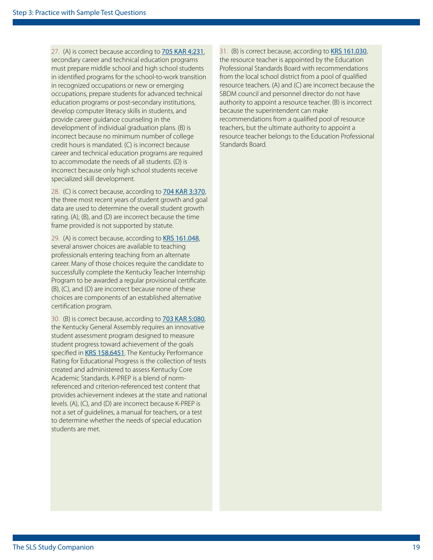27. (A) is correct because according to [705 KAR 4:231](http://www.lrc.ky.gov/kar/705/004/231.htm), secondary career and technical education programs must prepare middle school and high school students in identified programs for the school-to-work transition in recognized occupations or new or emerging occupations, prepare students for advanced technical education programs or post-secondary institutions, develop computer literacy skills in students, and provide career guidance counseling in the development of individual graduation plans. (B) is incorrect because no minimum number of college credit hours is mandated. (C) is incorrect because career and technical education programs are required to accommodate the needs of all students. (D) is incorrect because only high school students receive specialized skill development.

28. (C) is correct because, according to **[704 KAR 3:370](http://www.lrc.ky.gov/kar/704/003/370.htm)**, the three most recent years of student growth and goal data are used to determine the overall student growth rating. (A), (B), and (D) are incorrect because the time frame provided is not supported by statute.

29. (A) is correct because, according to [KRS 161.048](http://www.lrc.ky.gov/Statutes/statute.aspx?id=3837), several answer choices are available to teaching professionals entering teaching from an alternate career. Many of those choices require the candidate to successfully complete the Kentucky Teacher Internship Program to be awarded a regular provisional certificate. (B), (C), and (D) are incorrect because none of these choices are components of an established alternative certification program.

30. (B) is correct because, according to [703 KAR 5:080](http://www.lrc.ky.gov/kar/703/005/080.htm), the Kentucky General Assembly requires an innovative student assessment program designed to measure student progress toward achievement of the goals specified in [KRS 158.6451](http://www.lrc.ky.gov/statutes/statute.aspx?id=3552). The Kentucky Performance Rating for Educational Progress is the collection of tests created and administered to assess Kentucky Core Academic Standards. K-PREP is a blend of normreferenced and criterion-referenced test content that provides achievement indexes at the state and national levels. (A), (C), and (D) are incorrect because K-PREP is not a set of guidelines, a manual for teachers, or a test to determine whether the needs of special education students are met.

31. (B) is correct because, according to [KRS 161.030](http://www.lrc.ky.gov/statutes/statute.aspx?id=3830), the resource teacher is appointed by the Education Professional Standards Board with recommendations from the local school district from a pool of qualified resource teachers. (A) and (C) are incorrect because the SBDM council and personnel director do not have authority to appoint a resource teacher. (B) is incorrect because the superintendent can make recommendations from a qualified pool of resource teachers, but the ultimate authority to appoint a resource teacher belongs to the Education Professional Standards Board.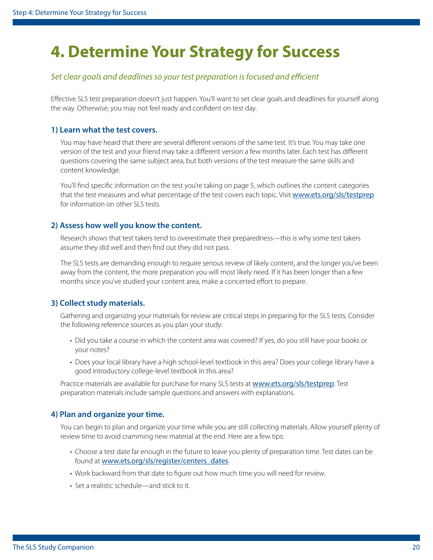## <span id="page-19-0"></span>**4. Determine Your Strategy for Success**

#### *Set clear goals and deadlines so your test preparation is focused and efficient*

Effective SLS test preparation doesn't just happen. You'll want to set clear goals and deadlines for yourself along the way. Otherwise, you may not feel ready and confident on test day.

#### **1) Learn what the test covers.**

You may have heard that there are several different versions of the same test. It's true. You may take one version of the test and your friend may take a different version a few months later. Each test has different questions covering the same subject area, but both versions of the test measure the same skills and content knowledge.

You'll find specific information on the test you're taking on [page 5](#page-4-1), which outlines the content categories that the test measures and what percentage of the test covers each topic. Visit <www.ets.org/sls/testprep> for information on other SLS tests.

#### **2) Assess how well you know the content.**

Research shows that test takers tend to overestimate their preparedness—this is why some test takers assume they did well and then find out they did not pass.

The SLS tests are demanding enough to require serious review of likely content, and the longer you've been away from the content, the more preparation you will most likely need. If it has been longer than a few months since you've studied your content area, make a concerted effort to prepare.

#### **3) Collect study materials.**

Gathering and organizing your materials for review are critical steps in preparing for the SLS tests. Consider the following reference sources as you plan your study:

- Did you take a course in which the content area was covered? If yes, do you still have your books or your notes?
- Does your local library have a high school-level textbook in this area? Does your college library have a good introductory college-level textbook in this area?

Practice materials are available for purchase for many SLS tests at <www.ets.org/sls/testprep>. Test preparation materials include sample questions and answers with explanations.

#### **4) Plan and organize your time.**

You can begin to plan and organize your time while you are still collecting materials. Allow yourself plenty of review time to avoid cramming new material at the end. Here are a few tips:

- Choose a test date far enough in the future to leave you plenty of preparation time. Test dates can be found at [www.ets.org/sls/register/centers\\_dates](www.ets.org/sls/register/centers_dates).
- Work backward from that date to figure out how much time you will need for review.
- Set a realistic schedule—and stick to it.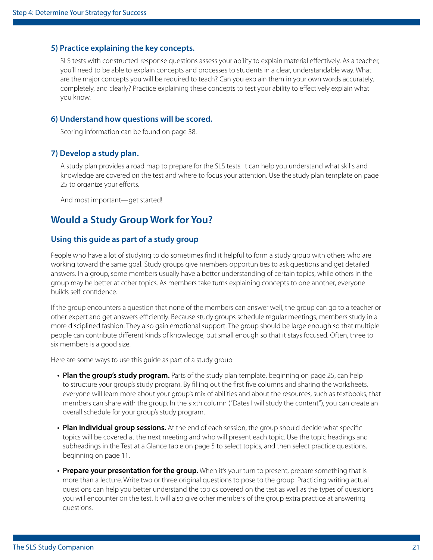#### **5) Practice explaining the key concepts.**

SLS tests with constructed-response questions assess your ability to explain material effectively. As a teacher, you'll need to be able to explain concepts and processes to students in a clear, understandable way. What are the major concepts you will be required to teach? Can you explain them in your own words accurately, completely, and clearly? Practice explaining these concepts to test your ability to effectively explain what you know.

#### **6) Understand how questions will be scored.**

Scoring information can be found on [page 38](#page-37-1).

#### **7) Develop a study plan.**

A study plan provides a road map to prepare for the SLS tests. It can help you understand what skills and knowledge are covered on the test and where to focus your attention. Use the study plan template on [page](#page-24-0)  [25](#page-24-0) to organize your efforts.

And most important—get started!

### **Would a Study Group Work for You?**

#### **Using this guide as part of a study group**

People who have a lot of studying to do sometimes find it helpful to form a study group with others who are working toward the same goal. Study groups give members opportunities to ask questions and get detailed answers. In a group, some members usually have a better understanding of certain topics, while others in the group may be better at other topics. As members take turns explaining concepts to one another, everyone builds self-confidence.

If the group encounters a question that none of the members can answer well, the group can go to a teacher or other expert and get answers efficiently. Because study groups schedule regular meetings, members study in a more disciplined fashion. They also gain emotional support. The group should be large enough so that multiple people can contribute different kinds of knowledge, but small enough so that it stays focused. Often, three to six members is a good size.

Here are some ways to use this guide as part of a study group:

- **Plan the group's study program.** Parts of the study plan template, beginning on [page 25](#page-24-0), can help to structure your group's study program. By filling out the first five columns and sharing the worksheets, everyone will learn more about your group's mix of abilities and about the resources, such as textbooks, that members can share with the group. In the sixth column ("Dates I will study the content"), you can create an overall schedule for your group's study program.
- **Plan individual group sessions.** At the end of each session, the group should decide what specific topics will be covered at the next meeting and who will present each topic. Use the topic headings and subheadings in the Test at a Glance table on [page 5](#page-4-1) to select topics, and then select practice questions, beginning on [page 11.](#page-10-1)
- **Prepare your presentation for the group.** When it's your turn to present, prepare something that is more than a lecture. Write two or three original questions to pose to the group. Practicing writing actual questions can help you better understand the topics covered on the test as well as the types of questions you will encounter on the test. It will also give other members of the group extra practice at answering questions.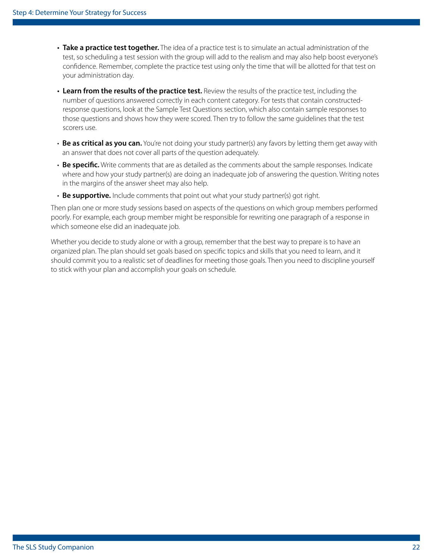- **Take a practice test together.** The idea of a practice test is to simulate an actual administration of the test, so scheduling a test session with the group will add to the realism and may also help boost everyone's confidence. Remember, complete the practice test using only the time that will be allotted for that test on your administration day.
- **Learn from the results of the practice test.** Review the results of the practice test, including the number of questions answered correctly in each content category. For tests that contain constructedresponse questions, look at the Sample Test Questions section, which also contain sample responses to those questions and shows how they were scored. Then try to follow the same guidelines that the test scorers use.
- **Be as critical as you can.** You're not doing your study partner(s) any favors by letting them get away with an answer that does not cover all parts of the question adequately.
- **Be specific.** Write comments that are as detailed as the comments about the sample responses. Indicate where and how your study partner(s) are doing an inadequate job of answering the question. Writing notes in the margins of the answer sheet may also help.
- **Be supportive.** Include comments that point out what your study partner(s) got right.

Then plan one or more study sessions based on aspects of the questions on which group members performed poorly. For example, each group member might be responsible for rewriting one paragraph of a response in which someone else did an inadequate job.

Whether you decide to study alone or with a group, remember that the best way to prepare is to have an organized plan. The plan should set goals based on specific topics and skills that you need to learn, and it should commit you to a realistic set of deadlines for meeting those goals. Then you need to discipline yourself to stick with your plan and accomplish your goals on schedule.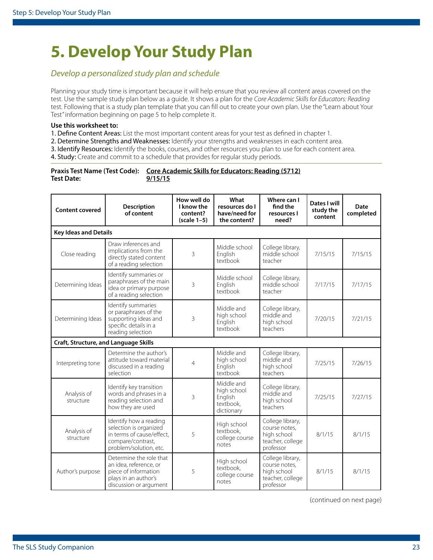## <span id="page-22-0"></span>**5. Develop Your Study Plan**

#### *Develop a personalized study plan and schedule*

Planning your study time is important because it will help ensure that you review all content areas covered on the test. Use the sample study plan below as a guide. It shows a plan for the *Core Academic Skills for Educators: Reading* test. Following that is a study plan template that you can fill out to create your own plan. Use the "Learn about Your Test" information beginning on [page 5](#page-4-1) to help complete it.

#### **Use this worksheet to:**

1. Define Content Areas: List the most important content areas for your test as defined in chapter 1.

2. Determine Strengths and Weaknesses: Identify your strengths and weaknesses in each content area.

3. Identify Resources: Identify the books, courses, and other resources you plan to use for each content area.

4. Study: Create and commit to a schedule that provides for regular study periods.

|                   | Praxis Test Name (Test Code): Core Academic Skills for Educators: Reading (5712) |
|-------------------|----------------------------------------------------------------------------------|
| <b>Test Date:</b> | 9/15/15                                                                          |

| <b>Content covered</b>                | Description<br>of content                                                                                                    | How well do<br>I know the<br>content?<br>$(scale 1-5)$ | What<br>resources do I<br>have/need for<br>the content?         | Where can I<br>find the<br>resources I<br>need?                                   | Dates I will<br>study the<br>content | Date<br>completed |  |  |  |
|---------------------------------------|------------------------------------------------------------------------------------------------------------------------------|--------------------------------------------------------|-----------------------------------------------------------------|-----------------------------------------------------------------------------------|--------------------------------------|-------------------|--|--|--|
|                                       | <b>Key Ideas and Details</b>                                                                                                 |                                                        |                                                                 |                                                                                   |                                      |                   |  |  |  |
| Close reading                         | Draw inferences and<br>implications from the<br>directly stated content<br>of a reading selection                            | 3                                                      | Middle school<br>English<br>textbook                            | College library,<br>middle school<br>teacher                                      | 7/15/15                              | 7/15/15           |  |  |  |
| Determining Ideas                     | Identify summaries or<br>paraphrases of the main<br>idea or primary purpose<br>of a reading selection                        | 3                                                      | Middle school<br>English<br>textbook                            | College library,<br>middle school<br>teacher                                      | 7/17/15                              | 7/17/15           |  |  |  |
| Determining Ideas                     | Identify summaries<br>or paraphrases of the<br>supporting ideas and<br>specific details in a<br>reading selection            | 3                                                      | Middle and<br>high school<br>English<br>textbook                | College library,<br>middle and<br>high school<br>teachers                         | 7/20/15                              | 7/21/15           |  |  |  |
| Craft, Structure, and Language Skills |                                                                                                                              |                                                        |                                                                 |                                                                                   |                                      |                   |  |  |  |
| Interpreting tone                     | Determine the author's<br>attitude toward material<br>discussed in a reading<br>selection                                    | 4                                                      | Middle and<br>high school<br>English<br>textbook                | College library,<br>middle and<br>high school<br>teachers                         | 7/25/15                              | 7/26/15           |  |  |  |
| Analysis of<br>structure              | Identify key transition<br>words and phrases in a<br>reading selection and<br>how they are used                              | 3                                                      | Middle and<br>high school<br>English<br>textbook.<br>dictionary | College library,<br>middle and<br>high school<br>teachers                         | 7/25/15                              | 7/27/15           |  |  |  |
| Analysis of<br>structure              | Identify how a reading<br>selection is organized<br>in terms of cause/effect,<br>compare/contrast,<br>problem/solution, etc. | 5                                                      | High school<br>textbook,<br>college course<br>notes             | College library,<br>course notes.<br>high school<br>teacher, college<br>professor | 8/1/15                               | 8/1/15            |  |  |  |
| Author's purpose                      | Determine the role that<br>an idea, reference, or<br>piece of information<br>plays in an author's<br>discussion or argument  | 5                                                      | High school<br>textbook,<br>college course<br>notes             | College library,<br>course notes,<br>high school<br>teacher, college<br>professor | 8/1/15                               | 8/1/15            |  |  |  |

(continued on next page)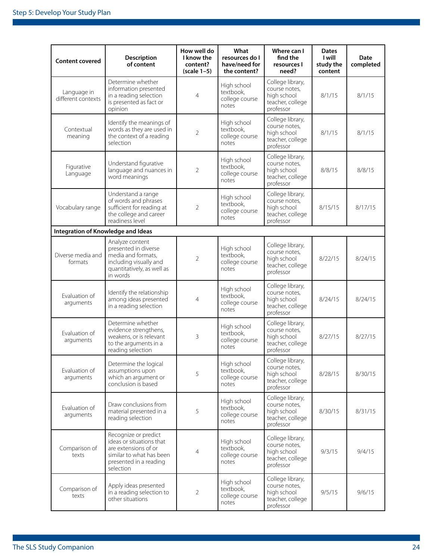| <b>Content covered</b>             | <b>Description</b><br>of content                                                                                                            | How well do<br>I know the<br>content?<br>$(scale 1-5)$ | What<br>resources do I<br>have/need for<br>the content? | Where can I<br>find the<br>resources I<br>need?                                   | <b>Dates</b><br>l will<br>study the<br>content | Date<br>completed |
|------------------------------------|---------------------------------------------------------------------------------------------------------------------------------------------|--------------------------------------------------------|---------------------------------------------------------|-----------------------------------------------------------------------------------|------------------------------------------------|-------------------|
| Language in<br>different contexts  | Determine whether<br>information presented<br>in a reading selection<br>is presented as fact or<br>opinion                                  | 4                                                      | High school<br>textbook,<br>college course<br>notes     | College library,<br>course notes,<br>high school<br>teacher, college<br>professor | 8/1/15                                         | 8/1/15            |
| Contextual<br>meaning              | Identify the meanings of<br>words as they are used in<br>the context of a reading<br>selection                                              | $\overline{2}$                                         | High school<br>textbook,<br>college course<br>notes     | College library,<br>course notes,<br>high school<br>teacher, college<br>professor | 8/1/15                                         | 8/1/15            |
| Figurative<br>Language             | Understand figurative<br>language and nuances in<br>word meanings                                                                           | $\overline{2}$                                         | High school<br>textbook,<br>college course<br>notes     | College library,<br>course notes,<br>high school<br>teacher, college<br>professor | 8/8/15                                         | 8/8/15            |
| Vocabulary range                   | Understand a range<br>of words and phrases<br>sufficient for reading at<br>the college and career<br>readiness level                        | $\overline{2}$                                         | High school<br>textbook,<br>college course<br>notes     | College library,<br>course notes,<br>high school<br>teacher, college<br>professor | 8/15/15                                        | 8/17/15           |
| Integration of Knowledge and Ideas |                                                                                                                                             |                                                        |                                                         |                                                                                   |                                                |                   |
| Diverse media and<br>formats       | Analyze content<br>presented in diverse<br>media and formats,<br>including visually and<br>quantitatively, as well as<br>in words           | $\overline{2}$                                         | High school<br>textbook,<br>college course<br>notes     | College library,<br>course notes,<br>high school<br>teacher, college<br>professor | 8/22/15                                        | 8/24/15           |
| Evaluation of<br>arguments         | Identify the relationship<br>among ideas presented<br>in a reading selection                                                                | 4                                                      | High school<br>textbook,<br>college course<br>notes     | College library,<br>course notes,<br>high school<br>teacher, college<br>professor | 8/24/15                                        | 8/24/15           |
| Evaluation of<br>arguments         | Determine whether<br>evidence strengthens,<br>weakens, or is relevant<br>to the arguments in a<br>reading selection                         | 3                                                      | High school<br>textbook,<br>college course<br>notes     | College library,<br>course notes,<br>high school<br>teacher, college<br>professor | 8/27/15                                        | 8/27/15           |
| Evaluation of<br>arguments         | Determine the logical<br>assumptions upon<br>which an argument or<br>conclusion is based                                                    | 5                                                      | High school<br>textbook,<br>college course<br>notes     | College library,<br>course notes,<br>high school<br>teacher, college<br>professor | 8/28/15                                        | 8/30/15           |
| Evaluation of<br>arguments         | Draw conclusions from<br>material presented in a<br>reading selection                                                                       | 5                                                      | High school<br>textbook,<br>college course<br>notes     | College library,<br>course notes,<br>high school<br>teacher, college<br>professor | 8/30/15                                        | 8/31/15           |
| Comparison of<br>texts             | Recognize or predict<br>ideas or situations that<br>are extensions of or<br>similar to what has been<br>presented in a reading<br>selection | 4                                                      | High school<br>textbook,<br>college course<br>notes     | College library,<br>course notes.<br>high school<br>teacher, college<br>professor | 9/3/15                                         | 9/4/15            |
| Comparison of<br>texts             | Apply ideas presented<br>in a reading selection to<br>other situations                                                                      | 2                                                      | High school<br>textbook,<br>college course<br>notes     | College library,<br>course notes,<br>high school<br>teacher, college<br>professor | 9/5/15                                         | 9/6/15            |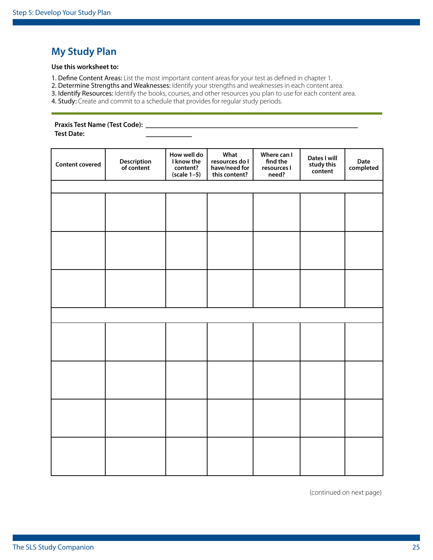### <span id="page-24-0"></span>**My Study Plan**

#### **Use this worksheet to:**

1. Define Content Areas: List the most important content areas for your test as defined in chapter 1.

2. Determine Strengths and Weaknesses: Identify your strengths and weaknesses in each content area.

3. Identify Resources: Identify the books, courses, and other resources you plan to use for each content area.

4. Study: Create and commit to a schedule that provides for regular study periods.

#### **Praxis Test Name (Test Code):** \_\_\_\_\_\_\_\_\_\_\_\_\_\_\_\_\_\_\_\_\_\_\_\_\_\_\_\_\_\_\_\_\_\_\_\_\_\_\_\_\_\_\_\_\_\_\_\_\_\_\_\_\_\_\_\_\_\_\_\_

**Test Date:** \_\_\_\_\_\_\_\_\_\_\_\_\_

| <b>Content covered</b> | <b>Description</b><br>of content | How well do<br>I know the<br>content?<br>$(scale 1-5)$ | What<br>resources do I<br>have/need for<br>this content? | Where can I<br>find the<br>resources I<br>need? | Dates I will<br>study this<br>content | Date<br>completed |
|------------------------|----------------------------------|--------------------------------------------------------|----------------------------------------------------------|-------------------------------------------------|---------------------------------------|-------------------|
|                        |                                  |                                                        |                                                          |                                                 |                                       |                   |
|                        |                                  |                                                        |                                                          |                                                 |                                       |                   |
|                        |                                  |                                                        |                                                          |                                                 |                                       |                   |
|                        |                                  |                                                        |                                                          |                                                 |                                       |                   |
|                        |                                  |                                                        |                                                          |                                                 |                                       |                   |
|                        |                                  |                                                        |                                                          |                                                 |                                       |                   |
|                        |                                  |                                                        |                                                          |                                                 |                                       |                   |
|                        |                                  |                                                        |                                                          |                                                 |                                       |                   |
|                        |                                  |                                                        |                                                          |                                                 |                                       |                   |
|                        |                                  |                                                        |                                                          |                                                 |                                       |                   |
|                        |                                  |                                                        |                                                          |                                                 |                                       |                   |
|                        |                                  |                                                        |                                                          |                                                 |                                       |                   |
|                        |                                  |                                                        |                                                          |                                                 |                                       |                   |
|                        |                                  |                                                        |                                                          |                                                 |                                       |                   |
|                        |                                  |                                                        |                                                          |                                                 |                                       |                   |
|                        |                                  |                                                        |                                                          |                                                 |                                       |                   |

(continued on next page)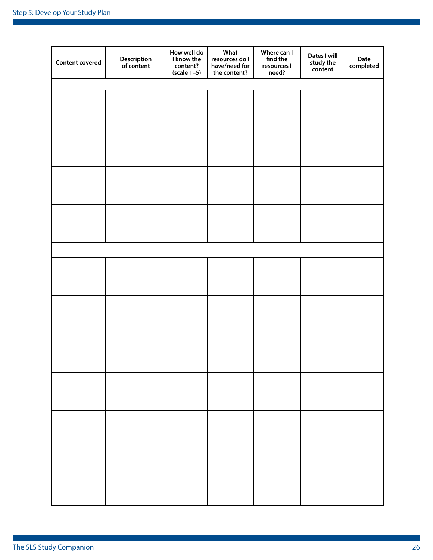| <b>Content covered</b> | <b>Description</b><br>of content | How well do<br>I know the<br>content?<br>$(scale 1-5)$ | What<br>resources do I<br>have/need for<br>the content? | Where can I<br>find the<br>resources I<br>need? | Dates I will<br>study the<br>content | Date<br>completed |
|------------------------|----------------------------------|--------------------------------------------------------|---------------------------------------------------------|-------------------------------------------------|--------------------------------------|-------------------|
|                        |                                  |                                                        |                                                         |                                                 |                                      |                   |
|                        |                                  |                                                        |                                                         |                                                 |                                      |                   |
|                        |                                  |                                                        |                                                         |                                                 |                                      |                   |
|                        |                                  |                                                        |                                                         |                                                 |                                      |                   |
|                        |                                  |                                                        |                                                         |                                                 |                                      |                   |
|                        |                                  |                                                        |                                                         |                                                 |                                      |                   |
|                        |                                  |                                                        |                                                         |                                                 |                                      |                   |
|                        |                                  |                                                        |                                                         |                                                 |                                      |                   |
|                        |                                  |                                                        |                                                         |                                                 |                                      |                   |
|                        |                                  |                                                        |                                                         |                                                 |                                      |                   |
|                        |                                  |                                                        |                                                         |                                                 |                                      |                   |
|                        |                                  |                                                        |                                                         |                                                 |                                      |                   |
|                        |                                  |                                                        |                                                         |                                                 |                                      |                   |
|                        |                                  |                                                        |                                                         |                                                 |                                      |                   |
|                        |                                  |                                                        |                                                         |                                                 |                                      |                   |
|                        |                                  |                                                        |                                                         |                                                 |                                      |                   |
|                        |                                  |                                                        |                                                         |                                                 |                                      |                   |
|                        |                                  |                                                        |                                                         |                                                 |                                      |                   |
|                        |                                  |                                                        |                                                         |                                                 |                                      |                   |
|                        |                                  |                                                        |                                                         |                                                 |                                      |                   |
|                        |                                  |                                                        |                                                         |                                                 |                                      |                   |
|                        |                                  |                                                        |                                                         |                                                 |                                      |                   |
|                        |                                  |                                                        |                                                         |                                                 |                                      |                   |
|                        |                                  |                                                        |                                                         |                                                 |                                      |                   |
|                        |                                  |                                                        |                                                         |                                                 |                                      |                   |
|                        |                                  |                                                        |                                                         |                                                 |                                      |                   |
|                        |                                  |                                                        |                                                         |                                                 |                                      |                   |
|                        |                                  |                                                        |                                                         |                                                 |                                      |                   |
|                        |                                  |                                                        |                                                         |                                                 |                                      |                   |
|                        |                                  |                                                        |                                                         |                                                 |                                      |                   |
|                        |                                  |                                                        |                                                         |                                                 |                                      |                   |
|                        |                                  |                                                        |                                                         |                                                 |                                      |                   |
|                        |                                  |                                                        |                                                         |                                                 |                                      |                   |
|                        |                                  |                                                        |                                                         |                                                 |                                      |                   |
|                        |                                  |                                                        |                                                         |                                                 |                                      |                   |
|                        |                                  |                                                        |                                                         |                                                 |                                      |                   |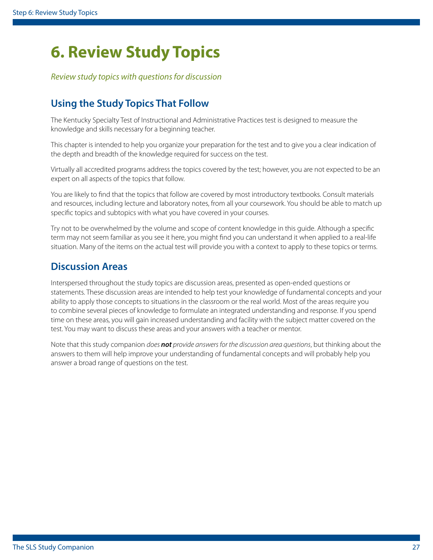## <span id="page-26-0"></span>**6. Review Study Topics**

*Review study topics with questions for discussion*

## **Using the Study Topics That Follow**

The Kentucky Specialty Test of Instructional and Administrative Practices test is designed to measure the knowledge and skills necessary for a beginning teacher.

This chapter is intended to help you organize your preparation for the test and to give you a clear indication of the depth and breadth of the knowledge required for success on the test.

Virtually all accredited programs address the topics covered by the test; however, you are not expected to be an expert on all aspects of the topics that follow.

You are likely to find that the topics that follow are covered by most introductory textbooks. Consult materials and resources, including lecture and laboratory notes, from all your coursework. You should be able to match up specific topics and subtopics with what you have covered in your courses.

Try not to be overwhelmed by the volume and scope of content knowledge in this guide. Although a specific term may not seem familiar as you see it here, you might find you can understand it when applied to a real-life situation. Many of the items on the actual test will provide you with a context to apply to these topics or terms.

### **Discussion Areas**

Interspersed throughout the study topics are discussion areas, presented as open-ended questions or statements. These discussion areas are intended to help test your knowledge of fundamental concepts and your ability to apply those concepts to situations in the classroom or the real world. Most of the areas require you to combine several pieces of knowledge to formulate an integrated understanding and response. If you spend time on these areas, you will gain increased understanding and facility with the subject matter covered on the test. You may want to discuss these areas and your answers with a teacher or mentor.

Note that this study companion *does not provide answers for the discussion area questions*, but thinking about the answers to them will help improve your understanding of fundamental concepts and will probably help you answer a broad range of questions on the test.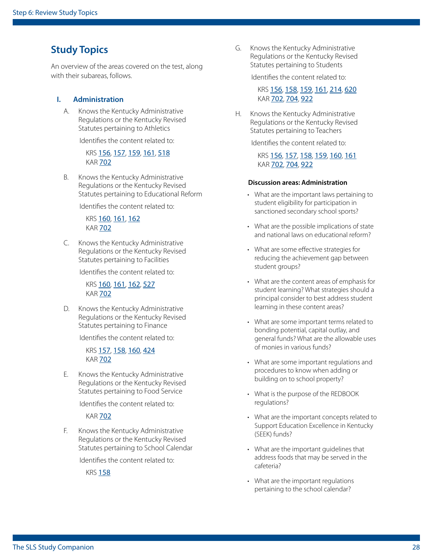### **Study Topics**

An overview of the areas covered on the test, along with their subareas, follows.

#### **I. Administration**

A. Knows the Kentucky Administrative Regulations or the Kentucky Revised Statutes pertaining to Athletics

Identifies the content related to:

KRS [156](http://www.lrc.ky.gov/Statutes/chapter.aspx?id=37825), [157](http://www.lrc.ky.gov/Statutes/chapter.aspx?id=37840), [159](http://www.lrc.ky.gov/Statutes/chapter.aspx?id=37866), [161](http://www.lrc.ky.gov/Statutes/chapter.aspx?id=37880), [518](http://www.lrc.ky.gov/Statutes/chapter.aspx?id=39384) **KAR [702](http://www.lrc.ky.gov/kar/TITLE702.HTM)** 

B. Knows the Kentucky Administrative Regulations or the Kentucky Revised Statutes pertaining to Educational Reform

Identifies the content related to:

KRS [160](http://www.lrc.ky.gov/Statutes/chapter.aspx?id=37868), [161](http://www.lrc.ky.gov/Statutes/chapter.aspx?id=37880), [162](http://www.lrc.ky.gov/Statutes/chapter.aspx?id=37888) **KAR [702](http://www.lrc.ky.gov/kar/TITLE702.HTM)** 

C. Knows the Kentucky Administrative Regulations or the Kentucky Revised Statutes pertaining to Facilities

Identifies the content related to:

KRS [160](http://www.lrc.ky.gov/Statutes/chapter.aspx?id=37868), [161](http://www.lrc.ky.gov/Statutes/chapter.aspx?id=37880), [162](http://www.lrc.ky.gov/Statutes/chapter.aspx?id=37888), [527](http://www.lrc.ky.gov/Statutes/chapter.aspx?id=39394) KAR [702](http://www.lrc.ky.gov/kar/TITLE702.HTM)

D. Knows the Kentucky Administrative Regulations or the Kentucky Revised Statutes pertaining to Finance

Identifies the content related to:

KRS [157](http://www.lrc.ky.gov/Statutes/chapter.aspx?id=37840), [158](http://www.lrc.ky.gov/Statutes/chapter.aspx?id=37853), [160](http://www.lrc.ky.gov/Statutes/chapter.aspx?id=37868), [424](http://www.lrc.ky.gov/Statutes/chapter.aspx?id=39285) **KAR [702](http://www.lrc.ky.gov/kar/TITLE702.HTM)** 

E. Knows the Kentucky Administrative Regulations or the Kentucky Revised Statutes pertaining to Food Service

Identifies the content related to:

KAR [702](http://www.lrc.ky.gov/kar/TITLE702.HTM)

F. Knows the Kentucky Administrative Regulations or the Kentucky Revised Statutes pertaining to School Calendar

Identifies the content related to:

KRS [158](http://www.lrc.ky.gov/Statutes/chapter.aspx?id=37853)

G. Knows the Kentucky Administrative Regulations or the Kentucky Revised Statutes pertaining to Students

Identifies the content related to:

KRS [156](http://www.lrc.ky.gov/Statutes/chapter.aspx?id=37825), [158](http://www.lrc.ky.gov/Statutes/chapter.aspx?id=37853), [159](http://www.lrc.ky.gov/Statutes/chapter.aspx?id=37866), [161](http://www.lrc.ky.gov/Statutes/chapter.aspx?id=37880), [214](http://www.lrc.ky.gov/Statutes/chapter.aspx?id=38211), [620](http://www.lrc.ky.gov/Statutes/chapter.aspx?id=39420) KAR [702](http://www.lrc.ky.gov/kar/TITLE702.HTM), [704](http://www.lrc.ky.gov/kar/TITLE704.HTM), [922](http://www.lrc.ky.gov/kar/TITLE922.HTM)

H. Knows the Kentucky Administrative Regulations or the Kentucky Revised Statutes pertaining to Teachers

Identifies the content related to:

KRS [156](http://www.lrc.ky.gov/Statutes/chapter.aspx?id=37825), [157](http://www.lrc.ky.gov/Statutes/chapter.aspx?id=37840), [158](http://www.lrc.ky.gov/Statutes/chapter.aspx?id=37853), [159](http://www.lrc.ky.gov/Statutes/chapter.aspx?id=37866), [160](http://www.lrc.ky.gov/Statutes/chapter.aspx?id=37868), [161](http://www.lrc.ky.gov/Statutes/chapter.aspx?id=37880) KAR [702](http://www.lrc.ky.gov/kar/TITLE702.HTM), [704](http://www.lrc.ky.gov/kar/TITLE704.HTM), [922](http://www.lrc.ky.gov/kar/TITLE922.HTM)

#### **Discussion areas: Administration**

- What are the important laws pertaining to student eligibility for participation in sanctioned secondary school sports?
- What are the possible implications of state and national laws on educational reform?
- What are some effective strategies for reducing the achievement gap between student groups?
- What are the content areas of emphasis for student learning? What strategies should a principal consider to best address student learning in these content areas?
- What are some important terms related to bonding potential, capital outlay, and general funds? What are the allowable uses of monies in various funds?
- What are some important regulations and procedures to know when adding or building on to school property?
- What is the purpose of the REDBOOK regulations?
- What are the important concepts related to Support Education Excellence in Kentucky (SEEK) funds?
- What are the important guidelines that address foods that may be served in the cafeteria?
- What are the important regulations pertaining to the school calendar?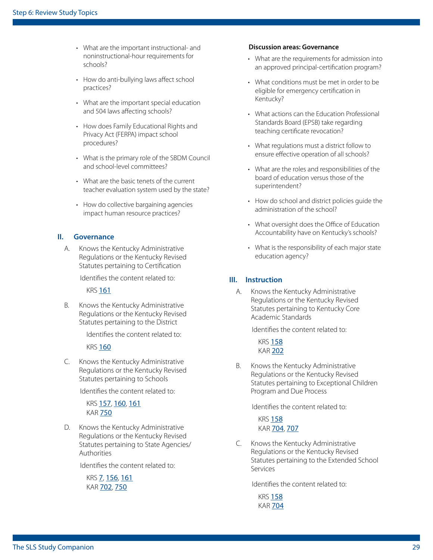- What are the important instructional- and noninstructional-hour requirements for schools?
- How do anti-bullying laws affect school practices?
- What are the important special education and 504 laws affecting schools?
- How does Family Educational Rights and Privacy Act (FERPA) impact school procedures?
- What is the primary role of the SBDM Council and school-level committees?
- What are the basic tenets of the current teacher evaluation system used by the state?
- How do collective bargaining agencies impact human resource practices?

#### **II. Governance**

A. Knows the Kentucky Administrative Regulations or the Kentucky Revised Statutes pertaining to Certification

Identifies the content related to:

KRS [161](http://www.lrc.ky.gov/Statutes/chapter.aspx?id=37880)

B. Knows the Kentucky Administrative Regulations or the Kentucky Revised Statutes pertaining to the District

Identifies the content related to:

#### KRS [160](http://www.lrc.ky.gov/Statutes/chapter.aspx?id=37868)

C. Knows the Kentucky Administrative Regulations or the Kentucky Revised Statutes pertaining to Schools

Identifies the content related to:

KRS [157](http://www.lrc.ky.gov/Statutes/chapter.aspx?id=37840), [160](http://www.lrc.ky.gov/Statutes/chapter.aspx?id=37868), [161](http://www.lrc.ky.gov/Statutes/chapter.aspx?id=37880) KAR [750](http://www.lrc.ky.gov/kar/TITLE750.HTM)

D. Knows the Kentucky Administrative Regulations or the Kentucky Revised Statutes pertaining to State Agencies/ Authorities

Identifies the content related to:

KRS [7](http://www.lrc.ky.gov/Statutes/chapter.aspx?id=37058), [156](http://www.lrc.ky.gov/Statutes/chapter.aspx?id=37825), [161](http://www.lrc.ky.gov/Statutes/chapter.aspx?id=37880) KAR [702](http://www.lrc.ky.gov/kar/TITLE702.HTM), [750](http://www.lrc.ky.gov/kar/TITLE750.HTM)

#### **Discussion areas: Governance**

- What are the requirements for admission into an approved principal-certification program?
- What conditions must be met in order to be eligible for emergency certification in Kentucky?
- What actions can the Education Professional Standards Board (EPSB) take regarding teaching certificate revocation?
- What regulations must a district follow to ensure effective operation of all schools?
- What are the roles and responsibilities of the board of education versus those of the superintendent?
- How do school and district policies guide the administration of the school?
- What oversight does the Office of Education Accountability have on Kentucky's schools?
- What is the responsibility of each major state education agency?

#### **III. Instruction**

A. Knows the Kentucky Administrative Regulations or the Kentucky Revised Statutes pertaining to Kentucky Core Academic Standards

Identifies the content related to:

**KRS [158](http://www.lrc.ky.gov/Statutes/chapter.aspx?id=37853)** KAR [202](http://www.lrc.state.ky.us/kar/title202.htm#chp007)

B. Knows the Kentucky Administrative Regulations or the Kentucky Revised Statutes pertaining to Exceptional Children Program and Due Process

Identifies the content related to:

**KRS** [158](http://www.lrc.ky.gov/Statutes/chapter.aspx?id=37853) KAR [704](http://www.lrc.ky.gov/kar/TITLE704.HTM), [707](http://www.lrc.ky.gov/kar/TITLE707.HTM)

C. Knows the Kentucky Administrative Regulations or the Kentucky Revised Statutes pertaining to the Extended School Services

Identifies the content related to:

KRS [158](http://www.lrc.ky.gov/Statutes/chapter.aspx?id=37853) **KAR [704](http://www.lrc.ky.gov/kar/TITLE704.HTM)**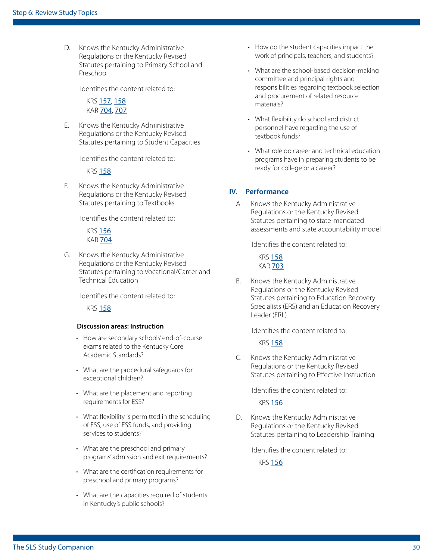D. Knows the Kentucky Administrative Regulations or the Kentucky Revised Statutes pertaining to Primary School and Preschool

Identifies the content related to:

KRS [157](http://www.lrc.ky.gov/Statutes/chapter.aspx?id=37840), [158](http://www.lrc.ky.gov/Statutes/chapter.aspx?id=37853) KAR [704](http://www.lrc.ky.gov/kar/TITLE704.HTM), [707](http://www.lrc.ky.gov/kar/TITLE707.HTM)

E. Knows the Kentucky Administrative Regulations or the Kentucky Revised Statutes pertaining to Student Capacities

Identifies the content related to:

KRS [158](http://www.lrc.ky.gov/Statutes/chapter.aspx?id=37853)

F. Knows the Kentucky Administrative Regulations or the Kentucky Revised Statutes pertaining to Textbooks

Identifies the content related to:

KRS [156](http://www.lrc.ky.gov/Statutes/chapter.aspx?id=37825) KAR [704](http://www.lrc.ky.gov/kar/TITLE704.HTM)

G. Knows the Kentucky Administrative Regulations or the Kentucky Revised Statutes pertaining to Vocational/Career and Technical Education

Identifies the content related to:

KRS [158](http://www.lrc.ky.gov/Statutes/chapter.aspx?id=37853)

#### **Discussion areas: Instruction**

- How are secondary schools' end-of-course exams related to the Kentucky Core Academic Standards?
- What are the procedural safeguards for exceptional children?
- What are the placement and reporting requirements for ESS?
- What flexibility is permitted in the scheduling of ESS, use of ESS funds, and providing services to students?
- What are the preschool and primary programs' admission and exit requirements?
- What are the certification requirements for preschool and primary programs?
- What are the capacities required of students in Kentucky's public schools?
- How do the student capacities impact the work of principals, teachers, and students?
- What are the school-based decision-making committee and principal rights and responsibilities regarding textbook selection and procurement of related resource materials?
- What flexibility do school and district personnel have regarding the use of textbook funds?
- What role do career and technical education programs have in preparing students to be ready for college or a career?

#### **IV. Performance**

A. Knows the Kentucky Administrative Regulations or the Kentucky Revised Statutes pertaining to state-mandated assessments and state accountability model

Identifies the content related to:

**KRS [158](http://www.lrc.ky.gov/Statutes/chapter.aspx?id=37853) KAR [703](http://www.lrc.ky.gov/kar/TITLE703.HTM)** 

B. Knows the Kentucky Administrative Regulations or the Kentucky Revised Statutes pertaining to Education Recovery Specialists (ERS) and an Education Recovery Leader (ERL)

Identifies the content related to:

KRS [158](http://www.lrc.ky.gov/Statutes/chapter.aspx?id=37853)

C. Knows the Kentucky Administrative Regulations or the Kentucky Revised Statutes pertaining to Effective Instruction

Identifies the content related to:

KRS [156](http://www.lrc.ky.gov/Statutes/chapter.aspx?id=37825)

D. Knows the Kentucky Administrative Regulations or the Kentucky Revised Statutes pertaining to Leadership Training

Identifies the content related to:

KRS [156](http://www.lrc.ky.gov/Statutes/chapter.aspx?id=37825)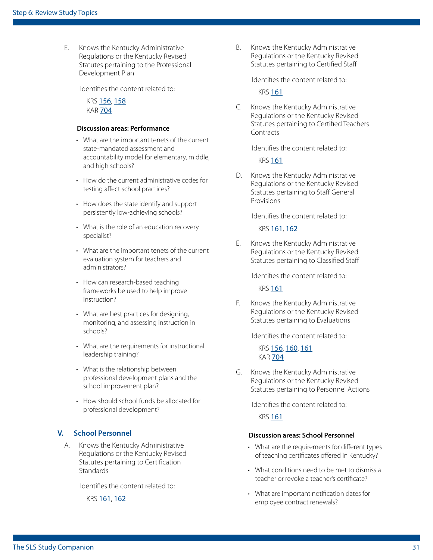E. Knows the Kentucky Administrative Regulations or the Kentucky Revised Statutes pertaining to the Professional Development Plan

Identifies the content related to:

KRS [156](http://www.lrc.ky.gov/Statutes/chapter.aspx?id=37825), [158](http://www.lrc.ky.gov/KRS/158-00/CHAPTER.HTM) KAR [704](http://www.lrc.ky.gov/kar/TITLE704.HTM)

#### **Discussion areas: Performance**

- What are the important tenets of the current state-mandated assessment and accountability model for elementary, middle, and high schools?
- How do the current administrative codes for testing affect school practices?
- How does the state identify and support persistently low-achieving schools?
- What is the role of an education recovery specialist?
- What are the important tenets of the current evaluation system for teachers and administrators?
- How can research-based teaching frameworks be used to help improve instruction?
- What are best practices for designing, monitoring, and assessing instruction in schools?
- What are the requirements for instructional leadership training?
- What is the relationship between professional development plans and the school improvement plan?
- How should school funds be allocated for professional development?

#### **V. School Personnel**

A. Knows the Kentucky Administrative Regulations or the Kentucky Revised Statutes pertaining to Certification **Standards** 

Identifies the content related to:

KRS [161](http://www.lrc.ky.gov/Statutes/chapter.aspx?id=37880), [162](http://www.lrc.ky.gov/Statutes/chapter.aspx?id=37888)

B. Knows the Kentucky Administrative Regulations or the Kentucky Revised Statutes pertaining to Certified Staff

Identifies the content related to:

**KRS [161](http://www.lrc.ky.gov/Statutes/chapter.aspx?id=37880)** 

C. Knows the Kentucky Administrative Regulations or the Kentucky Revised Statutes pertaining to Certified Teachers **Contracts** 

Identifies the content related to:

KRS [161](http://www.lrc.ky.gov/Statutes/chapter.aspx?id=37880)

D. Knows the Kentucky Administrative Regulations or the Kentucky Revised Statutes pertaining to Staff General Provisions

Identifies the content related to:

KRS [161](http://www.lrc.ky.gov/Statutes/chapter.aspx?id=37880), [162](http://www.lrc.ky.gov/Statutes/chapter.aspx?id=37888)

E. Knows the Kentucky Administrative Regulations or the Kentucky Revised Statutes pertaining to Classified Staff

Identifies the content related to:

**KRS [161](http://www.lrc.ky.gov/Statutes/chapter.aspx?id=37880)** 

F. Knows the Kentucky Administrative Regulations or the Kentucky Revised Statutes pertaining to Evaluations

Identifies the content related to:

KRS [156](http://www.lrc.ky.gov/Statutes/chapter.aspx?id=37825), [160](http://www.lrc.ky.gov/Statutes/chapter.aspx?id=37868), [161](http://www.lrc.ky.gov/Statutes/chapter.aspx?id=37880) **KAR [704](http://www.lrc.ky.gov/kar/TITLE704.HTM)** 

G. Knows the Kentucky Administrative Regulations or the Kentucky Revised Statutes pertaining to Personnel Actions

Identifies the content related to:

**KRS [161](http://www.lrc.ky.gov/Statutes/chapter.aspx?id=37880)** 

#### **Discussion areas: School Personnel**

- What are the requirements for different types of teaching certificates offered in Kentucky?
- What conditions need to be met to dismiss a teacher or revoke a teacher's certificate?
- What are important notification dates for employee contract renewals?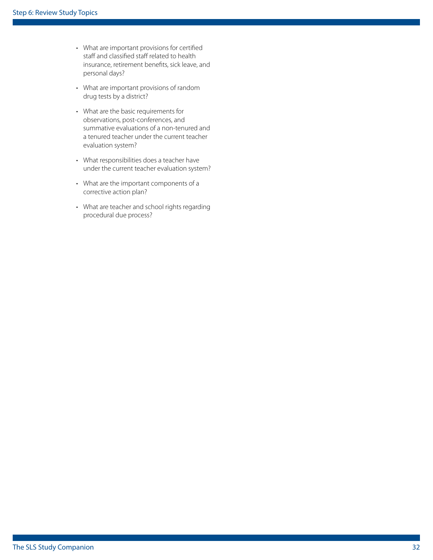- What are important provisions for certified staff and classified staff related to health insurance, retirement benefits, sick leave, and personal days?
- What are important provisions of random drug tests by a district?
- What are the basic requirements for observations, post-conferences, and summative evaluations of a non-tenured and a tenured teacher under the current teacher evaluation system?
- What responsibilities does a teacher have under the current teacher evaluation system?
- What are the important components of a corrective action plan?
- What are teacher and school rights regarding procedural due process?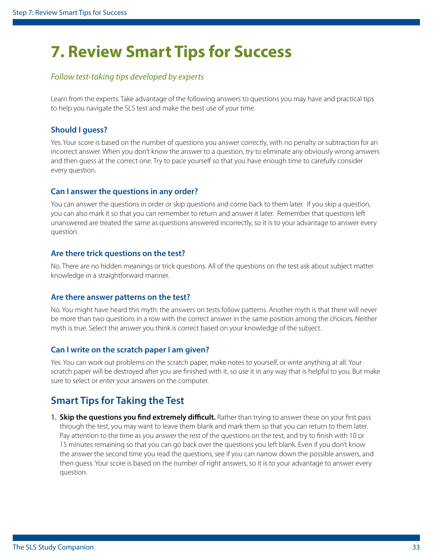## <span id="page-32-0"></span>**7. Review Smart Tips for Success**

#### *Follow test-taking tips developed by experts*

Learn from the experts. Take advantage of the following answers to questions you may have and practical tips to help you navigate the SLS test and make the best use of your time.

#### **Should I guess?**

Yes. Your score is based on the number of questions you answer correctly, with no penalty or subtraction for an incorrect answer. When you don't know the answer to a question, try to eliminate any obviously wrong answers and then guess at the correct one. Try to pace yourself so that you have enough time to carefully consider every question.

#### **Can I answer the questions in any order?**

You can answer the questions in order or skip questions and come back to them later. If you skip a question, you can also mark it so that you can remember to return and answer it later. Remember that questions left unanswered are treated the same as questions answered incorrectly, so it is to your advantage to answer every question.

#### **Are there trick questions on the test?**

No. There are no hidden meanings or trick questions. All of the questions on the test ask about subject matter knowledge in a straightforward manner.

#### **Are there answer patterns on the test?**

No. You might have heard this myth: the answers on tests follow patterns. Another myth is that there will never be more than two questions in a row with the correct answer in the same position among the choices. Neither myth is true. Select the answer you think is correct based on your knowledge of the subject.

#### **Can I write on the scratch paper I am given?**

Yes. You can work out problems on the scratch paper, make notes to yourself, or write anything at all. Your scratch paper will be destroyed after you are finished with it, so use it in any way that is helpful to you. But make sure to select or enter your answers on the computer.

### **Smart Tips for Taking the Test**

1. **Skip the questions you find extremely difficult.** Rather than trying to answer these on your first pass through the test, you may want to leave them blank and mark them so that you can return to them later. Pay attention to the time as you answer the rest of the questions on the test, and try to finish with 10 or 15 minutes remaining so that you can go back over the questions you left blank. Even if you don't know the answer the second time you read the questions, see if you can narrow down the possible answers, and then guess. Your score is based on the number of right answers, so it is to your advantage to answer every question.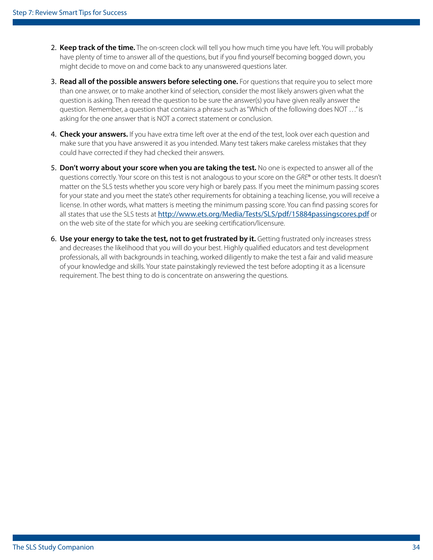- 2. **Keep track of the time.** The on-screen clock will tell you how much time you have left. You will probably have plenty of time to answer all of the questions, but if you find yourself becoming bogged down, you might decide to move on and come back to any unanswered questions later.
- 3. **Read all of the possible answers before selecting one.** For questions that require you to select more than one answer, or to make another kind of selection, consider the most likely answers given what the question is asking. Then reread the question to be sure the answer(s) you have given really answer the question. Remember, a question that contains a phrase such as "Which of the following does NOT …" is asking for the one answer that is NOT a correct statement or conclusion.
- 4. **Check your answers.** If you have extra time left over at the end of the test, look over each question and make sure that you have answered it as you intended. Many test takers make careless mistakes that they could have corrected if they had checked their answers.
- 5. **Don't worry about your score when you are taking the test.** No one is expected to answer all of the questions correctly. Your score on this test is not analogous to your score on the *GRE*® or other tests. It doesn't matter on the SLS tests whether you score very high or barely pass. If you meet the minimum passing scores for your state and you meet the state's other requirements for obtaining a teaching license, you will receive a license. In other words, what matters is meeting the minimum passing score. You can find passing scores for all states that use the SLS tests at <http://www.ets.org/Media/Tests/SLS/pdf/15884passingscores.pdf> or on the web site of the state for which you are seeking certification/licensure.
- 6. **Use your energy to take the test, not to get frustrated by it.** Getting frustrated only increases stress and decreases the likelihood that you will do your best. Highly qualified educators and test development professionals, all with backgrounds in teaching, worked diligently to make the test a fair and valid measure of your knowledge and skills. Your state painstakingly reviewed the test before adopting it as a licensure requirement. The best thing to do is concentrate on answering the questions.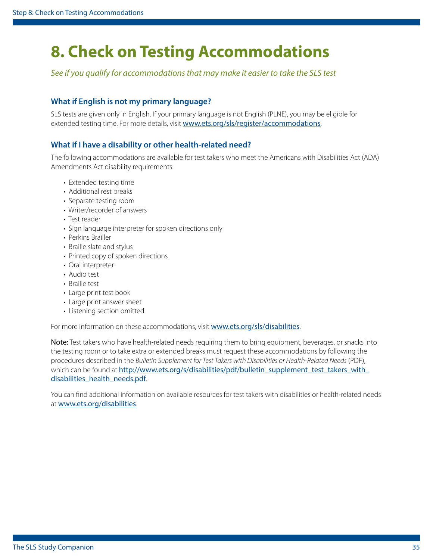## <span id="page-34-1"></span><span id="page-34-0"></span>**8. Check on Testing Accommodations**

*See if you qualify for accommodations that may make it easier to take the SLS test*

#### **What if English is not my primary language?**

SLS tests are given only in English. If your primary language is not English (PLNE), you may be eligible for extended testing time. For more details, visit <www.ets.org/sls/register/accommodations>.

#### **What if I have a disability or other health-related need?**

The following accommodations are available for test takers who meet the Americans with Disabilities Act (ADA) Amendments Act disability requirements:

- Extended testing time
- Additional rest breaks
- Separate testing room
- Writer/recorder of answers
- Test reader
- Sign language interpreter for spoken directions only
- Perkins Brailler
- Braille slate and stylus
- Printed copy of spoken directions
- Oral interpreter
- Audio test
- Braille test
- Large print test book
- Large print answer sheet
- Listening section omitted

For more information on these accommodations, visit <www.ets.org/sls/disabilities>.

Note: Test takers who have health-related needs requiring them to bring equipment, beverages, or snacks into the testing room or to take extra or extended breaks must request these accommodations by following the procedures described in the *Bulletin Supplement for Test Takers with Disabilities or Health-Related Needs* (PDF), which can be found at [http://www.ets.org/s/disabilities/pdf/bulletin\\_supplement\\_test\\_takers\\_with\\_](http://www.ets.org/s/disabilities/pdf/bulletin_supplement_test_takers_with_disabilities_health_needs.pdf) [disabilities\\_health\\_needs.pdf](http://www.ets.org/s/disabilities/pdf/bulletin_supplement_test_takers_with_disabilities_health_needs.pdf).

You can find additional information on available resources for test takers with disabilities or health-related needs at <www.ets.org/disabilities>.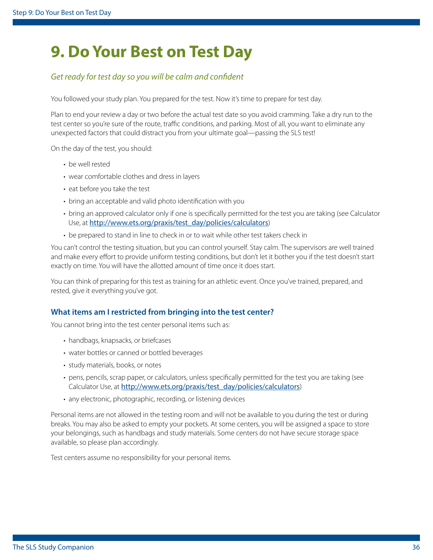## <span id="page-35-0"></span>**9. Do Your Best on Test Day**

#### *Get ready for test day so you will be calm and confident*

You followed your study plan. You prepared for the test. Now it's time to prepare for test day.

Plan to end your review a day or two before the actual test date so you avoid cramming. Take a dry run to the test center so you're sure of the route, traffic conditions, and parking. Most of all, you want to eliminate any unexpected factors that could distract you from your ultimate goal—passing the SLS test!

On the day of the test, you should:

- be well rested
- wear comfortable clothes and dress in layers
- eat before you take the test
- bring an acceptable and valid photo identification with you
- bring an approved calculator only if one is specifically permitted for the test you are taking (see Calculator Use, at [http://www.ets.org/praxis/test\\_day/policies/calculators](http://www.ets.org/praxis/test_day/policies/calculators))
- be prepared to stand in line to check in or to wait while other test takers check in

You can't control the testing situation, but you can control yourself. Stay calm. The supervisors are well trained and make every effort to provide uniform testing conditions, but don't let it bother you if the test doesn't start exactly on time. You will have the allotted amount of time once it does start.

You can think of preparing for this test as training for an athletic event. Once you've trained, prepared, and rested, give it everything you've got.

#### **What items am I restricted from bringing into the test center?**

You cannot bring into the test center personal items such as:

- handbags, knapsacks, or briefcases
- water bottles or canned or bottled beverages
- study materials, books, or notes
- pens, pencils, scrap paper, or calculators, unless specifically permitted for the test you are taking (see Calculator Use, at [http://www.ets.org/praxis/test\\_day/policies/calculators](http://www.ets.org/praxis/test_day/policies/calculators))
- any electronic, photographic, recording, or listening devices

Personal items are not allowed in the testing room and will not be available to you during the test or during breaks. You may also be asked to empty your pockets. At some centers, you will be assigned a space to store your belongings, such as handbags and study materials. Some centers do not have secure storage space available, so please plan accordingly.

Test centers assume no responsibility for your personal items.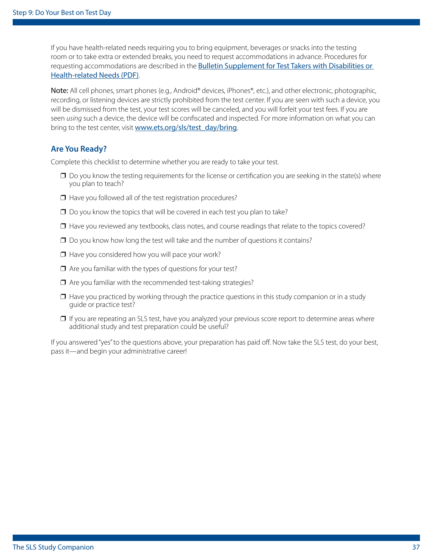If you have health-related needs requiring you to bring equipment, beverages or snacks into the testing room or to take extra or extended breaks, you need to request accommodations in advance. Procedures for requesting accommodations are described in the **Bulletin Supplement for Test Takers with Disabilities or** [Health-related Needs \(PDF\)](https://www.ets.org/s/disabilities/pdf/bulletin_supplement_test_takers_with_disabilities_health_needs.pdf).

Note: All cell phones, smart phones (e.g., Android® devices, iPhones®, etc.), and other electronic, photographic, recording, or listening devices are strictly prohibited from the test center. If you are seen with such a device, you will be dismissed from the test, your test scores will be canceled, and you will forfeit your test fees. If you are seen *using* such a device, the device will be confiscated and inspected. For more information on what you can bring to the test center, visit [www.ets.org/sls/test\\_day/bring](www.ets.org/sls/test_day/bring).

#### **Are You Ready?**

Complete this checklist to determine whether you are ready to take your test.

- $\Box$  Do you know the testing requirements for the license or certification you are seeking in the state(s) where you plan to teach?
- ❒ Have you followed all of the test registration procedures?
- ❒ Do you know the topics that will be covered in each test you plan to take?
- ❒ Have you reviewed any textbooks, class notes, and course readings that relate to the topics covered?
- ❒ Do you know how long the test will take and the number of questions it contains?
- ❒ Have you considered how you will pace your work?
- ❒ Are you familiar with the types of questions for your test?
- ❒ Are you familiar with the recommended test-taking strategies?
- ❒ Have you practiced by working through the practice questions in this study companion or in a study guide or practice test?
- □ If you are repeating an SLS test, have you analyzed your previous score report to determine areas where additional study and test preparation could be useful?

If you answered "yes" to the questions above, your preparation has paid off. Now take the SLS test, do your best, pass it—and begin your administrative career!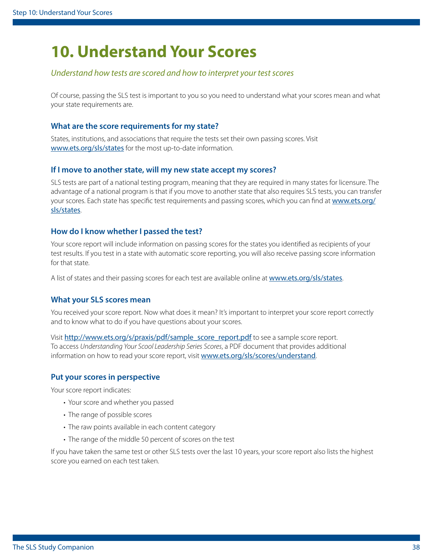## <span id="page-37-1"></span><span id="page-37-0"></span>**10. Understand Your Scores**

#### *Understand how tests are scored and how to interpret your test scores*

Of course, passing the SLS test is important to you so you need to understand what your scores mean and what your state requirements are.

#### **What are the score requirements for my state?**

States, institutions, and associations that require the tests set their own passing scores. Visit <www.ets.org/sls/states> for the most up-to-date information.

#### **If I move to another state, will my new state accept my scores?**

SLS tests are part of a national testing program, meaning that they are required in many states for licensure. The advantage of a national program is that if you move to another state that also requires SLS tests, you can transfer your scores. Each state has specific test requirements and passing scores, which you can find at [www.ets.org/](www.ets.org/sls/states) [sls/states](www.ets.org/sls/states).

#### **How do I know whether I passed the test?**

Your score report will include information on passing scores for the states you identified as recipients of your test results. If you test in a state with automatic score reporting, you will also receive passing score information for that state.

A list of states and their passing scores for each test are available online at <www.ets.org/sls/states>.

#### **What your SLS scores mean**

You received your score report. Now what does it mean? It's important to interpret your score report correctly and to know what to do if you have questions about your scores.

Visit http://www.ets.org/s/praxis/pdf/sample\_score\_report.pdf to see a sample score report. To access *Understanding Your Scool Leadership Series Scores*, a PDF document that provides additional information on how to read your score report, visit <www.ets.org/sls/scores/understand>.

#### **Put your scores in perspective**

Your score report indicates:

- Your score and whether you passed
- The range of possible scores
- The raw points available in each content category
- The range of the middle 50 percent of scores on the test

If you have taken the same test or other SLS tests over the last 10 years, your score report also lists the highest score you earned on each test taken.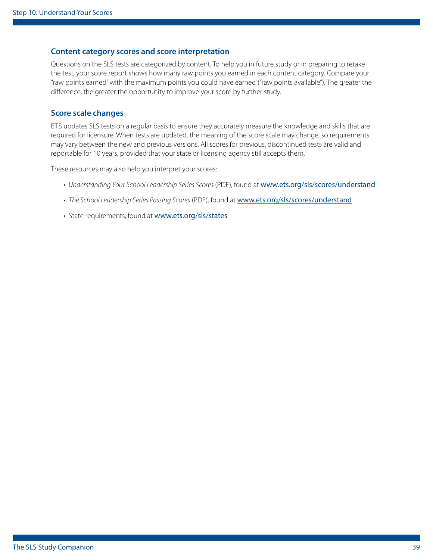#### **Content category scores and score interpretation**

Questions on the SLS tests are categorized by content. To help you in future study or in preparing to retake the test, your score report shows how many raw points you earned in each content category. Compare your "raw points earned" with the maximum points you could have earned ("raw points available"). The greater the difference, the greater the opportunity to improve your score by further study.

#### **Score scale changes**

ETS updates SLS tests on a regular basis to ensure they accurately measure the knowledge and skills that are required for licensure. When tests are updated, the meaning of the score scale may change, so requirements may vary between the new and previous versions. All scores for previous, discontinued tests are valid and reportable for 10 years, provided that your state or licensing agency still accepts them.

These resources may also help you interpret your scores:

- *Understanding Your School Leadership Series Scores* (PDF), found at <www.ets.org/sls/scores/understand>
- *The School Leadership Series Passing Scores* (PDF), found at <www.ets.org/sls/scores/understand>
- State requirements, found at <www.ets.org/sls/states>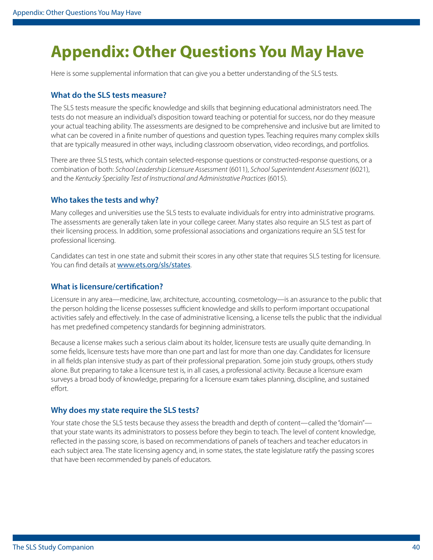## <span id="page-39-0"></span>**Appendix: Other Questions You May Have**

Here is some supplemental information that can give you a better understanding of the SLS tests.

#### **What do the SLS tests measure?**

The SLS tests measure the specific knowledge and skills that beginning educational administrators need. The tests do not measure an individual's disposition toward teaching or potential for success, nor do they measure your actual teaching ability. The assessments are designed to be comprehensive and inclusive but are limited to what can be covered in a finite number of questions and question types. Teaching requires many complex skills that are typically measured in other ways, including classroom observation, video recordings, and portfolios.

There are three SLS tests, which contain selected-response questions or constructed-response questions, or a combination of both: *School Leadership Licensure Assessment* (6011), *School Superintendent Assessment* (6021), and the *Kentucky Speciality Test of Instructional and Administrative Practices* (6015).

#### **Who takes the tests and why?**

Many colleges and universities use the SLS tests to evaluate individuals for entry into administrative programs. The assessments are generally taken late in your college career. Many states also require an SLS test as part of their licensing process. In addition, some professional associations and organizations require an SLS test for professional licensing.

Candidates can test in one state and submit their scores in any other state that requires SLS testing for licensure. You can find details at <www.ets.org/sls/states>.

#### **What is licensure/certification?**

Licensure in any area—medicine, law, architecture, accounting, cosmetology—is an assurance to the public that the person holding the license possesses sufficient knowledge and skills to perform important occupational activities safely and effectively. In the case of administrative licensing, a license tells the public that the individual has met predefined competency standards for beginning administrators.

Because a license makes such a serious claim about its holder, licensure tests are usually quite demanding. In some fields, licensure tests have more than one part and last for more than one day. Candidates for licensure in all fields plan intensive study as part of their professional preparation. Some join study groups, others study alone. But preparing to take a licensure test is, in all cases, a professional activity. Because a licensure exam surveys a broad body of knowledge, preparing for a licensure exam takes planning, discipline, and sustained effort.

#### **Why does my state require the SLS tests?**

Your state chose the SLS tests because they assess the breadth and depth of content—called the "domain" that your state wants its administrators to possess before they begin to teach. The level of content knowledge, reflected in the passing score, is based on recommendations of panels of teachers and teacher educators in each subject area. The state licensing agency and, in some states, the state legislature ratify the passing scores that have been recommended by panels of educators.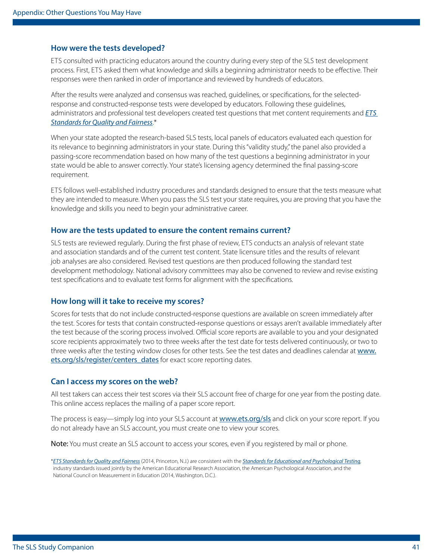#### **How were the tests developed?**

ETS consulted with practicing educators around the country during every step of the SLS test development process. First, ETS asked them what knowledge and skills a beginning administrator needs to be effective. Their responses were then ranked in order of importance and reviewed by hundreds of educators.

After the results were analyzed and consensus was reached, guidelines, or specifications, for the selectedresponse and constructed-response tests were developed by educators. Following these guidelines, administrators and professional test developers created test questions that met content requirements and *[ETS](https://www.ets.org/s/about/pdf/standards.pdf)  [Standards for Quality and Fairness](https://www.ets.org/s/about/pdf/standards.pdf)*.\*

When your state adopted the research-based SLS tests, local panels of educators evaluated each question for its relevance to beginning administrators in your state. During this "validity study," the panel also provided a passing-score recommendation based on how many of the test questions a beginning administrator in your state would be able to answer correctly. Your state's licensing agency determined the final passing-score requirement.

ETS follows well-established industry procedures and standards designed to ensure that the tests measure what they are intended to measure. When you pass the SLS test your state requires, you are proving that you have the knowledge and skills you need to begin your administrative career.

#### **How are the tests updated to ensure the content remains current?**

SLS tests are reviewed regularly. During the first phase of review, ETS conducts an analysis of relevant state and association standards and of the current test content. State licensure titles and the results of relevant job analyses are also considered. Revised test questions are then produced following the standard test development methodology. National advisory committees may also be convened to review and revise existing test specifications and to evaluate test forms for alignment with the specifications.

#### **How long will it take to receive my scores?**

Scores for tests that do not include constructed-response questions are available on screen immediately after the test. Scores for tests that contain constructed-response questions or essays aren't available immediately after the test because of the scoring process involved. Official score reports are available to you and your designated score recipients approximately two to three weeks after the test date for tests delivered continuously, or two to three weeks after the testing window closes for other tests. See the test dates and deadlines calendar at [www.](www.ets.org/sls/register/centers_dates) [ets.org/sls/register/centers\\_dates](www.ets.org/sls/register/centers_dates) for exact score reporting dates.

#### **Can I access my scores on the web?**

All test takers can access their test scores via their SLS account free of charge for one year from the posting date. This online access replaces the mailing of a paper score report.

The process is easy—simply log into your SLS account at <www.ets.org/sls> and click on your score report. If you do not already have an SLS account, you must create one to view your scores.

Note: You must create an SLS account to access your scores, even if you registered by mail or phone.

\**[ETS Standards for Quality and Fairness](https://www.ets.org/s/about/pdf/standards.pdf)* (2014, Princeton, N.J.) are consistent with the *[Standards for Educational and Psychological Testing](http://www.apa.org/science/programs/testing/standards.aspx)*, industry standards issued jointly by the American Educational Research Association, the American Psychological Association, and the National Council on Measurement in Education (2014, Washington, D.C.).